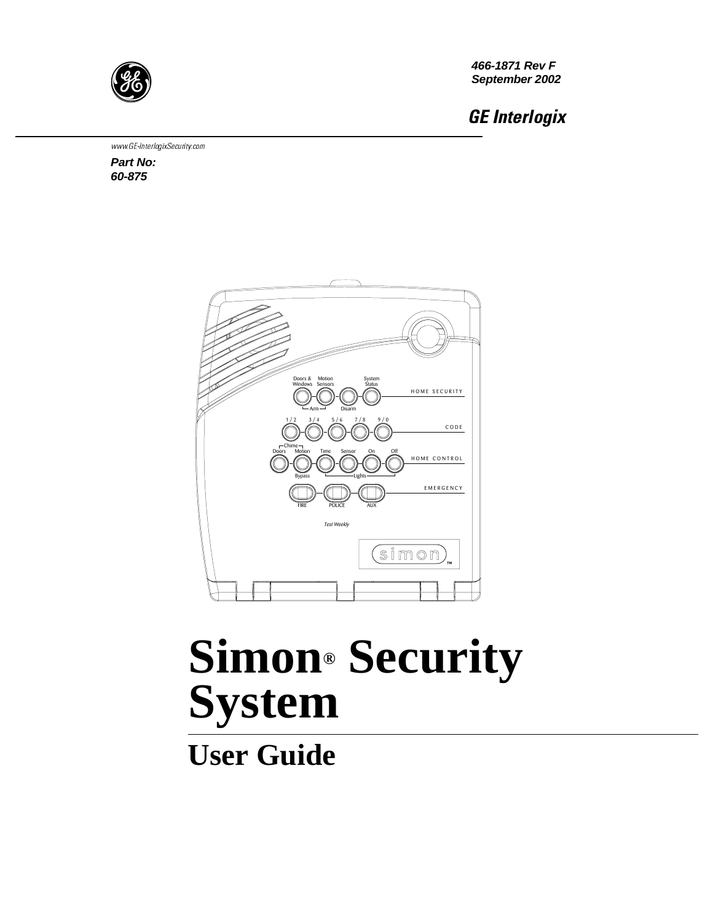

**466-1871 Rev F September 2002**

GE Interlogix

www.GE-InterlogixSecurity.com

**Part No: 60-875** 



# **Simon® Security System**

**User Guide**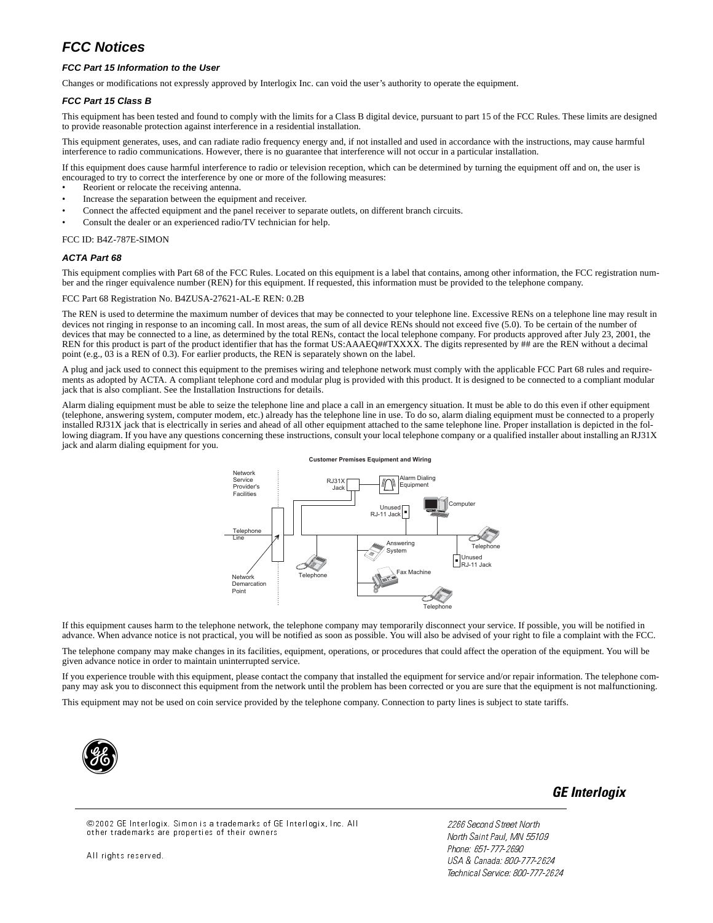### **FCC Notices**

#### **FCC Part 15 Information to the User**

Changes or modifications not expressly approved by Interlogix Inc. can void the user's authority to operate the equipment.

#### **FCC Part 15 Class B**

This equipment has been tested and found to comply with the limits for a Class B digital device, pursuant to part 15 of the FCC Rules. These limits are designed to provide reasonable protection against interference in a residential installation.

This equipment generates, uses, and can radiate radio frequency energy and, if not installed and used in accordance with the instructions, may cause harmful interference to radio communications. However, there is no guarantee that interference will not occur in a particular installation.

If this equipment does cause harmful interference to radio or television reception, which can be determined by turning the equipment off and on, the user is encouraged to try to correct the interference by one or more of the following measures:

- Reorient or relocate the receiving antenna.
- Increase the separation between the equipment and receiver.
- Connect the affected equipment and the panel receiver to separate outlets, on different branch circuits.
- Consult the dealer or an experienced radio/TV technician for help.

#### FCC ID: B4Z-787E-SIMON

#### **ACTA Part 68**

This equipment complies with Part 68 of the FCC Rules. Located on this equipment is a label that contains, among other information, the FCC registration number and the ringer equivalence number (REN) for this equipment. If requested, this information must be provided to the telephone company.

#### FCC Part 68 Registration No. B4ZUSA-27621-AL-E REN: 0.2B

The REN is used to determine the maximum number of devices that may be connected to your telephone line. Excessive RENs on a telephone line may result in devices not ringing in response to an incoming call. In most areas, the sum of all device RENs should not exceed five (5.0). To be certain of the number of devices that may be connected to a line, as determined by the total RENs, contact the local telephone company. For products approved after July 23, 2001, the REN for this product is part of the product identifier that has the format US:AAAEQ##TXXXX. The digits represented by ## are the REN without a decimal point (e.g.,  $03$  is a REN of 0.3). For earlier products, the REN is separately shown on the label.

A plug and jack used to connect this equipment to the premises wiring and telephone network must comply with the applicable FCC Part 68 rules and requirements as adopted by ACTA. A compliant telephone cord and modular plug is provided with this product. It is designed to be connected to a compliant modular jack that is also compliant. See the Installation Instructions for details.

Alarm dialing equipment must be able to seize the telephone line and place a call in an emergency situation. It must be able to do this even if other equipment (telephone, answering system, computer modem, etc.) already has the telephone line in use. To do so, alarm dialing equipment must be connected to a properly installed RJ31X jack that is electrically in series and ahead of all other equipment attached to the same telephone line. Proper installation is depicted in the following diagram. If you have any questions concerning these instructions, consult your local telephone company or a qualified installer about installing an RJ31X jack and alarm dialing equipment for you.



If this equipment causes harm to the telephone network, the telephone company may temporarily disconnect your service. If possible, you will be notified in advance. When advance notice is not practical, you will be notified as soon as possible. You will also be advised of your right to file a complaint with the FCC.

The telephone company may make changes in its facilities, equipment, operations, or procedures that could affect the operation of the equipment. You will be given advance notice in order to maintain uninterrupted service.

If you experience trouble with this equipment, please contact the company that installed the equipment for service and/or repair information. The telephone company may ask you to disconnect this equipment from the network until the problem has been corrected or you are sure that the equipment is not malfunctioning.

This equipment may not be used on coin service provided by the telephone company. Connection to party lines is subject to state tariffs.



GE Interlogix

©2002 GE Interlogix. Simon is a trademarks of GE Interlogix, Inc. All other trademarks are properties of their owners

All rights reserved.

2266 Second Street North North Saint Paul, MN 55109 Phone: 651-777-2690 USA & Canada: 800-777-2624 Technical Service: 800-777-2624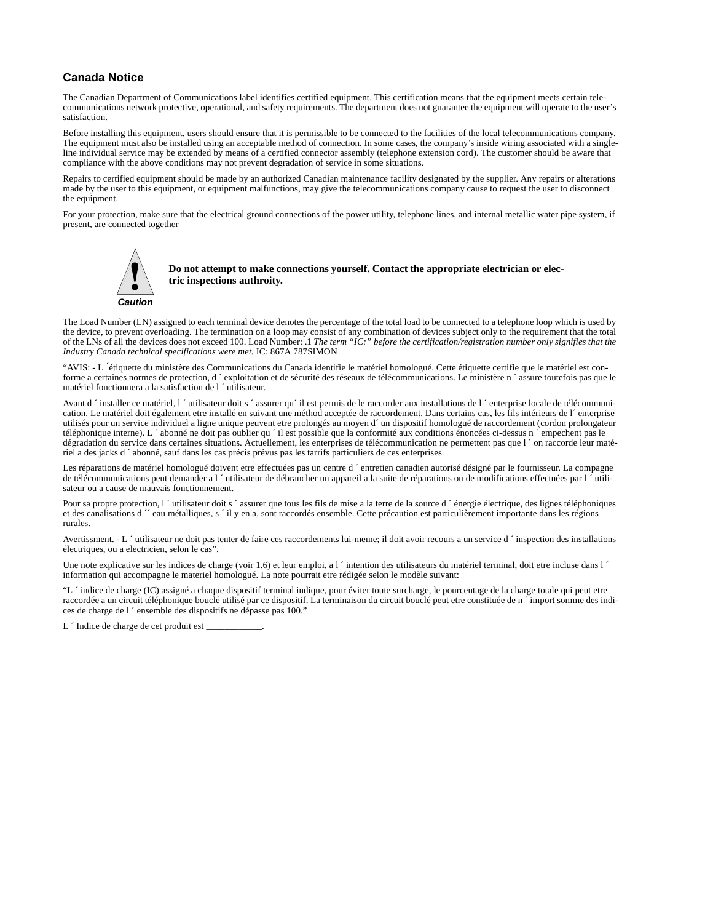#### **Canada Notice**

The Canadian Department of Communications label identifies certified equipment. This certification means that the equipment meets certain telecommunications network protective, operational, and safety requirements. The department does not guarantee the equipment will operate to the user's satisfaction.

Before installing this equipment, users should ensure that it is permissible to be connected to the facilities of the local telecommunications company. The equipment must also be installed using an acceptable method of connection. In some cases, the company's inside wiring associated with a singleline individual service may be extended by means of a certified connector assembly (telephone extension cord). The customer should be aware that compliance with the above conditions may not prevent degradation of service in some situations.

Repairs to certified equipment should be made by an authorized Canadian maintenance facility designated by the supplier. Any repairs or alterations made by the user to this equipment, or equipment malfunctions, may give the telecommunications company cause to request the user to disconnect the equipment.

For your protection, make sure that the electrical ground connections of the power utility, telephone lines, and internal metallic water pipe system, if present, are connected together



**Do not attempt to make connections yourself. Contact the appropriate electrician or electric inspections authroity.**

The Load Number (LN) assigned to each terminal device denotes the percentage of the total load to be connected to a telephone loop which is used by **Caution**<br>The Load Number (LN) assigned to each terminal device denotes the percentage of the total load to be connected to a telephone loop which is used by<br>the device, to prevent overloading. The termination on a loop ma of the LNs of all the devices does not exceed 100. Load Number: .1 *The term "IC:" before the certification/registration number only signifies that the Industry Canada technical specifications were met.* IC: 867A 787SIMON

"AVIS: - L ´étiquette du ministère des Communications du Canada identifie le matériel homologué. Cette étiquette certifie que le matériel est conforme a certaines normes de protection, d ´ exploitation et de sécurité des réseaux de télécommunications. Le ministère n ´ assure toutefois pas que le matériel fonctionnera a la satisfaction de l ´ utilisateur.

Avant d  $\dot{\ }$  installer ce matériel, l  $\dot{\ }$  utilisateur doit s  $\dot{\ }$  assurer qu $\dot{\ }$  il est permis de le raccorder aux installations de l  $\dot{\ }$  enterprise locale de télécommunication. Le matériel doit également etre installé en suivant une méthod acceptée de raccordement. Dans certains cas, les fils intérieurs de l´ enterprise utilisés pour un service individuel a ligne unique peuvent etre prolongés au moyen d´ un dispositif homologué de raccordement (cordon prolongateur téléphonique interne). L ´ abonné ne doit pas oublier qu ´ il est possible que la conformité aux conditions énoncées ci-dessus n ´ empechent pas le dégradation du service dans certaines situations. Actuellement, les enterprises de télécommunication ne permettent pas que l'on raccorde leur matériel a des jacks d ´ abonné, sauf dans les cas précis prévus pas les tarrifs particuliers de ces enterprises.

Les réparations de matériel homologué doivent etre effectuées pas un centre d'entretien canadien autorisé désigné par le fournisseur. La compagne de télécommunications peut demander a l ´utilisateur de débrancher un appareil a la suite de réparations ou de modifications effectuées par l ´utilisateur ou a cause de mauvais fonctionnement.

Pour sa propre protection, l'utilisateur doit s'assurer que tous les fils de mise a la terre de la source d'énergie électrique, des lignes téléphoniques et des canalisations d ´´ eau métalliques, s ´ il y en a, sont raccordés ensemble. Cette précaution est particulièrement importante dans les régions rurales.

Avertissment. - L 'utilisateur ne doit pas tenter de faire ces raccordements lui-meme; il doit avoir recours a un service d 'inspection des installations électriques, ou a electricien, selon le cas".

Une note explicative sur les indices de charge (voir 1.6) et leur emploi, a l 'intention des utilisateurs du matériel terminal, doit etre incluse dans l ' information qui accompagne le materiel homologué. La note pourrait etre rédigée selon le modèle suivant:

"L ´ indice de charge (IC) assigné a chaque dispositif terminal indique, pour éviter toute surcharge, le pourcentage de la charge totale qui peut etre raccordée a un circuit téléphonique bouclé utilisé par ce dispositif. La terminaison du circuit bouclé peut etre constituée de n ´ import somme des indices de charge de l ´ ensemble des dispositifs ne dépasse pas 100."

L 'Indice de charge de cet produit est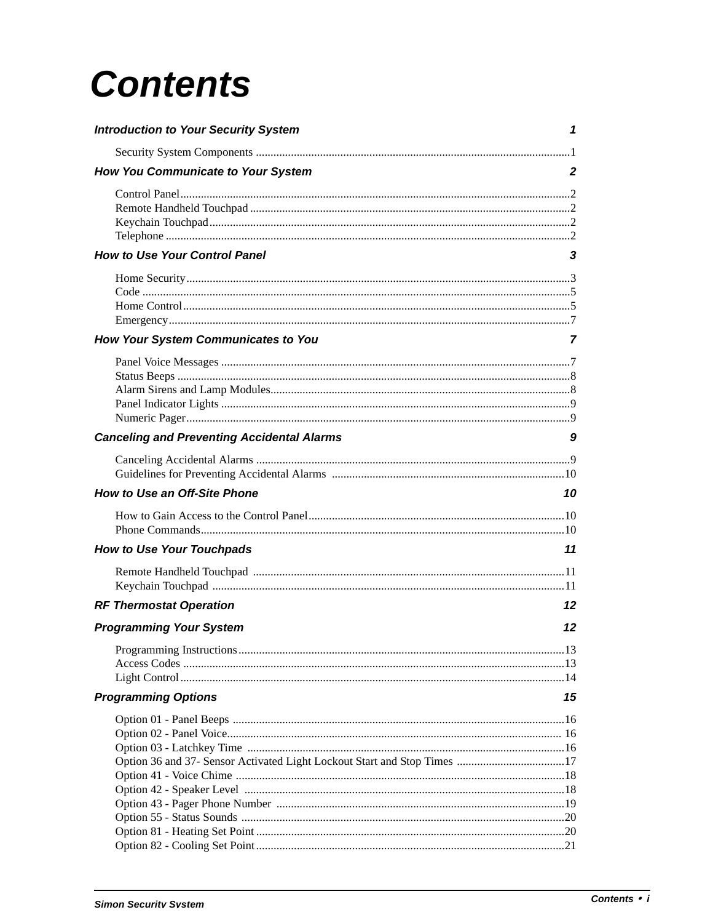# **Contents**

| <b>Introduction to Your Security System</b>       | 1  |
|---------------------------------------------------|----|
|                                                   |    |
| How You Communicate to Your System                | 2  |
|                                                   |    |
| <b>How to Use Your Control Panel</b>              | 3  |
| How Your System Communicates to You               | 7  |
|                                                   |    |
|                                                   |    |
| <b>Canceling and Preventing Accidental Alarms</b> | 9  |
|                                                   |    |
| <b>How to Use an Off-Site Phone</b>               | 10 |
|                                                   |    |
| <b>How to Use Your Touchpads</b>                  | 11 |
|                                                   |    |
| <b>RF Thermostat Operation</b>                    | 12 |
| <b>Programming Your System</b>                    | 12 |
|                                                   |    |
| <b>Programming Options</b>                        | 15 |
|                                                   |    |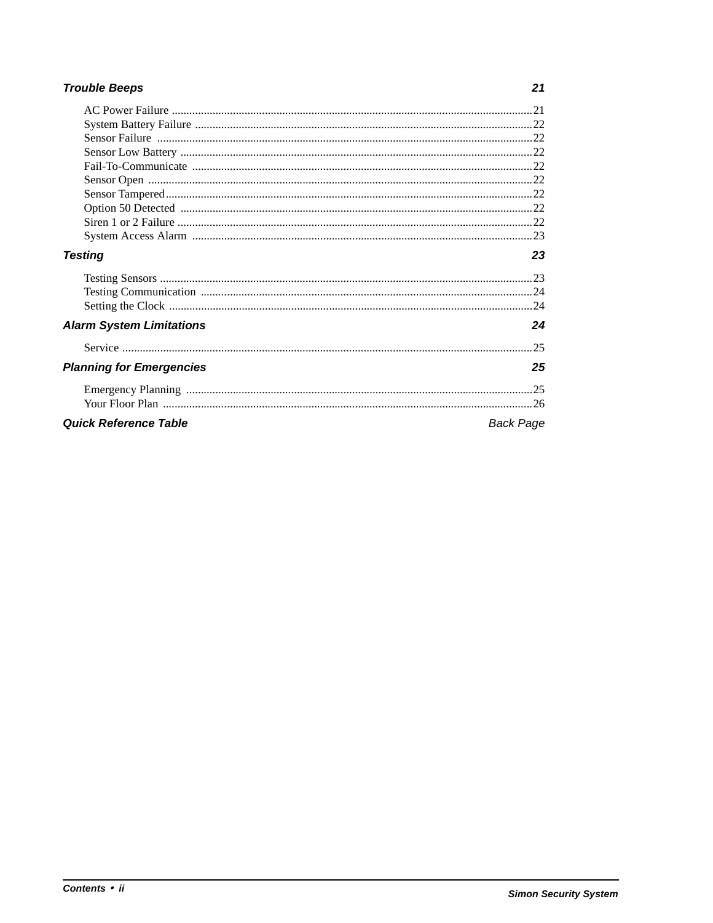### **Trouble Beeps**

| <b>Testing</b>                  | 23        |
|---------------------------------|-----------|
|                                 |           |
|                                 |           |
|                                 |           |
| <b>Alarm System Limitations</b> | 24        |
|                                 | -25       |
| <b>Planning for Emergencies</b> | 25        |
|                                 |           |
|                                 |           |
| <b>Quick Reference Table</b>    | Back Page |

#### $21$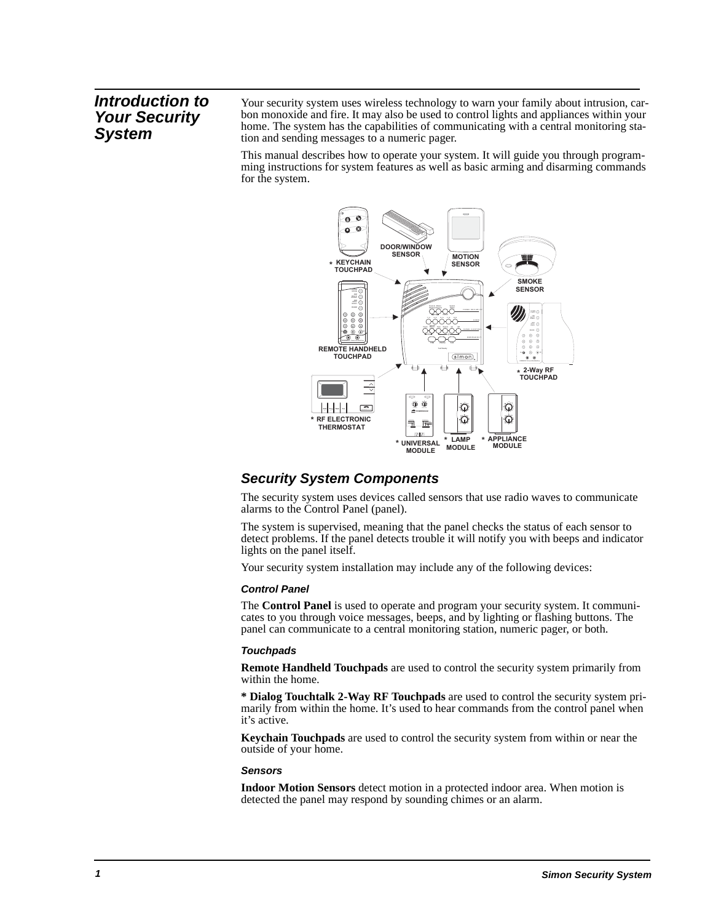### **Introduction to Your Security System**

Your security system uses wireless technology to warn your family about intrusion, carbon monoxide and fire. It may also be used to control lights and appliances within your home. The system has the capabilities of communicating with a central monitoring station and sending messages to a numeric pager.

This manual describes how to operate your system. It will guide you through programming instructions for system features as well as basic arming and disarming commands for the system.



### **Security System Components**

The security system uses devices called sensors that use radio waves to communicate alarms to the Control Panel (panel).

The system is supervised, meaning that the panel checks the status of each sensor to detect problems. If the panel detects trouble it will notify you with beeps and indicator lights on the panel itself.

Your security system installation may include any of the following devices:

#### **Control Panel**

The **Control Panel** is used to operate and program your security system. It communicates to you through voice messages, beeps, and by lighting or flashing buttons. The panel can communicate to a central monitoring station, numeric pager, or both.

#### **Touchpads**

**Remote Handheld Touchpads** are used to control the security system primarily from within the home.

**\* Dialog Touchtalk 2-Way RF Touchpads** are used to control the security system primarily from within the home. It's used to hear commands from the control panel when it's active.

**Keychain Touchpads** are used to control the security system from within or near the outside of your home.

#### **Sensors**

**Indoor Motion Sensors** detect motion in a protected indoor area. When motion is detected the panel may respond by sounding chimes or an alarm.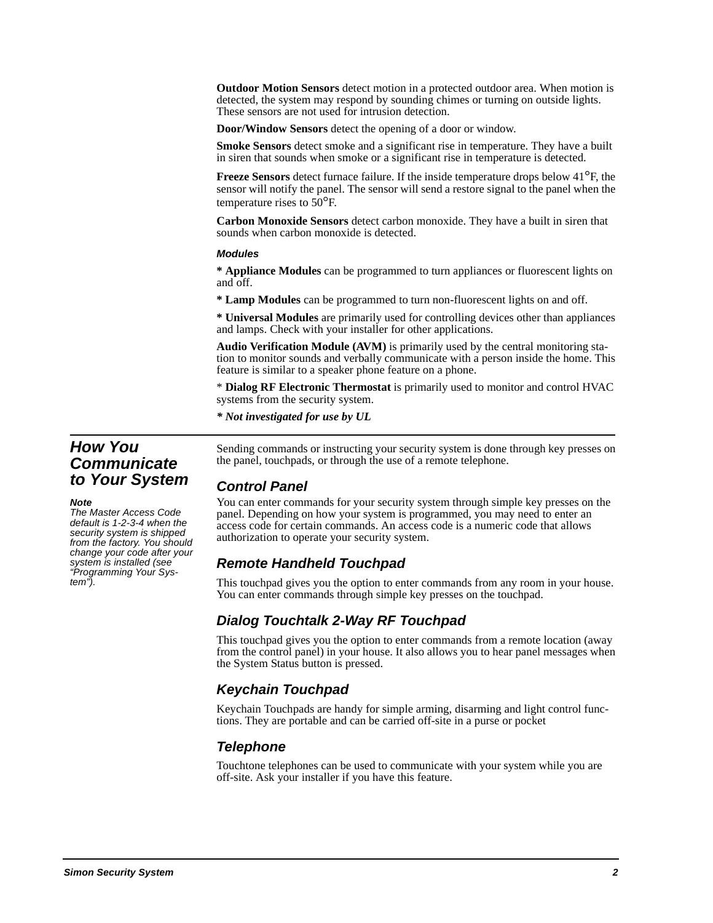**Outdoor Motion Sensors** detect motion in a protected outdoor area. When motion is detected, the system may respond by sounding chimes or turning on outside lights. These sensors are not used for intrusion detection.

**Door/Window Sensors** detect the opening of a door or window.

**Smoke Sensors** detect smoke and a significant rise in temperature. They have a built in siren that sounds when smoke or a significant rise in temperature is detected.

**Freeze Sensors** detect furnace failure. If the inside temperature drops below 41°F, the sensor will notify the panel. The sensor will send a restore signal to the panel when the temperature rises to 50°F.

**Carbon Monoxide Sensors** detect carbon monoxide. They have a built in siren that sounds when carbon monoxide is detected.

#### **Modules**

**\* Appliance Modules** can be programmed to turn appliances or fluorescent lights on and off.

**\* Lamp Modules** can be programmed to turn non-fluorescent lights on and off.

**\* Universal Modules** are primarily used for controlling devices other than appliances and lamps. Check with your installer for other applications.

**Audio Verification Module (AVM)** is primarily used by the central monitoring station to monitor sounds and verbally communicate with a person inside the home. This feature is similar to a speaker phone feature on a phone.

\* **Dialog RF Electronic Thermostat** is primarily used to monitor and control HVAC systems from the security system.

*\* Not investigated for use by UL*

### **How You Communicate to Your System**

#### **Note**

The Master Access Code default is 1-2-3-4 when the security system is shipped from the factory. You should change your code after your system is installed (see "Programming Your System").

Sending commands or instructing your security system is done through key presses on the panel, touchpads, or through the use of a remote telephone.

### **Control Panel**

You can enter commands for your security system through simple key presses on the panel. Depending on how your system is programmed, you may need to enter an access code for certain commands. An access code is a numeric code that allows authorization to operate your security system.

### **Remote Handheld Touchpad**

This touchpad gives you the option to enter commands from any room in your house. You can enter commands through simple key presses on the touchpad.

### **Dialog Touchtalk 2-Way RF Touchpad**

This touchpad gives you the option to enter commands from a remote location (away from the control panel) in your house. It also allows you to hear panel messages when the System Status button is pressed.

### **Keychain Touchpad**

Keychain Touchpads are handy for simple arming, disarming and light control functions. They are portable and can be carried off-site in a purse or pocket

### **Telephone**

Touchtone telephones can be used to communicate with your system while you are off-site. Ask your installer if you have this feature.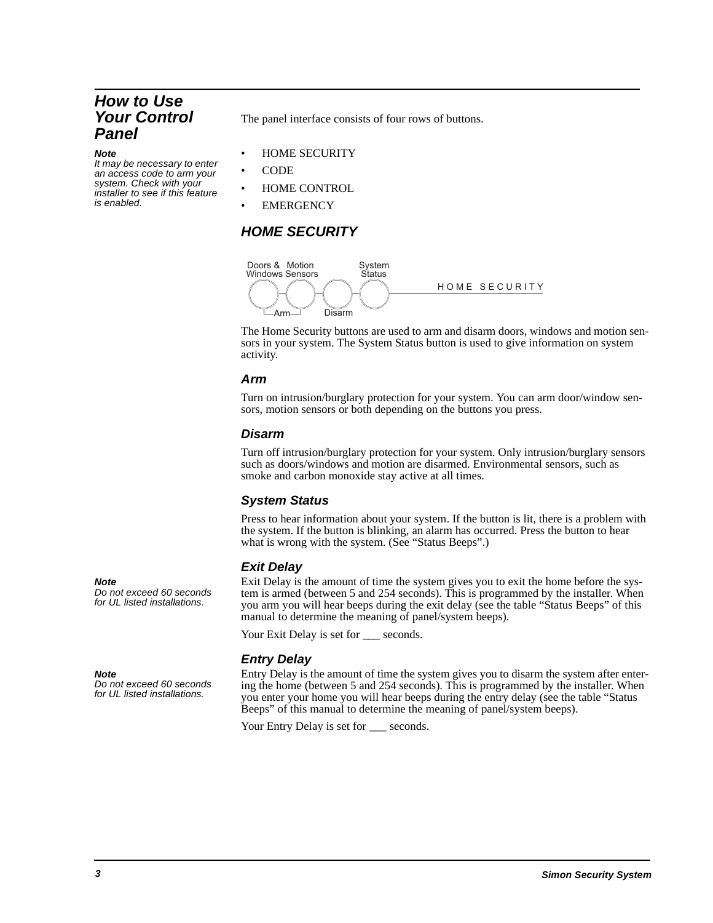### **How to Use Your Control Panel**

#### **Note**

It may be necessary to enter an access code to arm your system. Check with your installer to see if this feature is enabled.

The panel interface consists of four rows of buttons.

- HOME SECURITY
- CODE
- HOME CONTROL
- **EMERGENCY**

### **HOME SECURITY**



The Home Security buttons are used to arm and disarm doors, windows and motion sensors in your system. The System Status button is used to give information on system activity.

#### **Arm**

Turn on intrusion/burglary protection for your system. You can arm door/window sensors, motion sensors or both depending on the buttons you press.

### **Disarm**

Turn off intrusion/burglary protection for your system. Only intrusion/burglary sensors such as doors/windows and motion are disarmed. Environmental sensors, such as smoke and carbon monoxide stay active at all times.

#### **System Status**

Press to hear information about your system. If the button is lit, there is a problem with the system. If the button is blinking, an alarm has occurred. Press the button to hear what is wrong with the system. (See "Status Beeps".)

### **Exit Delay**

Exit Delay is the amount of time the system gives you to exit the home before the system is armed (between 5 and 254 seconds). This is programmed by the installer. When you arm you will hear beeps during the exit delay (see the table "Status Beeps" of this manual to determine the meaning of panel/system beeps).

Your Exit Delay is set for \_\_\_ seconds.

### **Entry Delay**

Entry Delay is the amount of time the system gives you to disarm the system after entering the home (between 5 and 254 seconds). This is programmed by the installer. When you enter your home you will hear beeps during the entry delay (see the table "Status Beeps" of this manual to determine the meaning of panel/system beeps).

Your Entry Delay is set for seconds.

**Note** 

Do not exceed 60 seconds for UL listed installations.

### **Note**

Do not exceed 60 seconds for UL listed installations.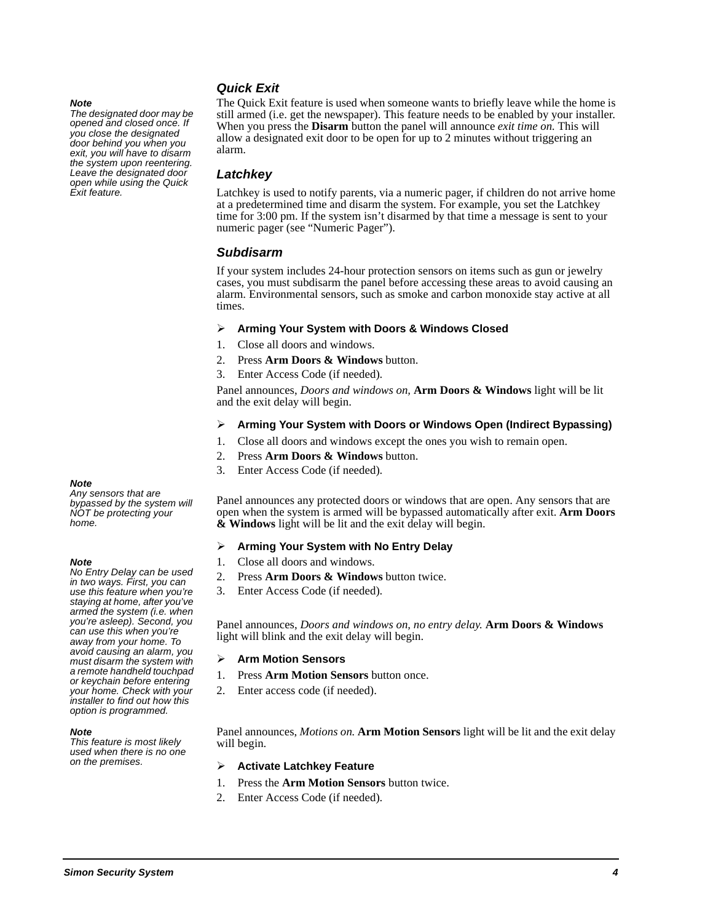#### **Note**

The designated door may be opened and closed once. If you close the designated door behind you when you exit, you will have to disarm the system upon reentering. Leave the designated door open while using the Quick Exit feature.

### **Quick Exit**

The Quick Exit feature is used when someone wants to briefly leave while the home is still armed (i.e. get the newspaper). This feature needs to be enabled by your installer. When you press the **Disarm** button the panel will announce *exit time on.* This will allow a designated exit door to be open for up to 2 minutes without triggering an alarm.

#### **Latchkey**

Latchkey is used to notify parents, via a numeric pager, if children do not arrive home at a predetermined time and disarm the system. For example, you set the Latchkey time for 3:00 pm. If the system isn't disarmed by that time a message is sent to your numeric pager (see "Numeric Pager").

#### **Subdisarm**

If your system includes 24-hour protection sensors on items such as gun or jewelry cases, you must subdisarm the panel before accessing these areas to avoid causing an alarm. Environmental sensors, such as smoke and carbon monoxide stay active at all times.

#### $\blacktriangleright$ **Arming Your System with Doors & Windows Closed**

- 1. Close all doors and windows.
- 2. Press **Arm Doors & Windows** button.
- 3. Enter Access Code (if needed).

Panel announces, *Doors and windows on,* **Arm Doors & Windows** light will be lit and the exit delay will begin.

#### -**Arming Your System with Doors or Windows Open (Indirect Bypassing)**

- 1. Close all doors and windows except the ones you wish to remain open.
- 2. Press **Arm Doors & Windows** button.
- 3. Enter Access Code (if needed).

Panel announces any protected doors or windows that are open. Any sensors that are open when the system is armed will be bypassed automatically after exit. **Arm Doors & Windows** light will be lit and the exit delay will begin.

#### $\blacktriangleright$ **Arming Your System with No Entry Delay**

- 1. Close all doors and windows.
- 2. Press **Arm Doors & Windows** button twice.
- 3. Enter Access Code (if needed).

Panel announces, *Doors and windows on, no entry delay.* **Arm Doors & Windows** light will blink and the exit delay will begin.

#### -**Arm Motion Sensors**

- 1. Press **Arm Motion Sensors** button once.
- 2. Enter access code (if needed).

Panel announces, *Motions on.* **Arm Motion Sensors** light will be lit and the exit delay will begin.

#### -**Activate Latchkey Feature**

- 1. Press the **Arm Motion Sensors** button twice.
- 2. Enter Access Code (if needed).

#### **Note**

Any sensors that are bypassed by the system will NOT be protecting your home.

#### **Note**

No Entry Delay can be used in two ways. First, you can use this feature when you're staying at home, after you've armed the system (i.e. when you're asleep). Second, you can use this when you're away from your home. To avoid causing an alarm, you must disarm the system with a remote handheld touchpad or keychain before entering your home. Check with your installer to find out how this option is programmed.

#### **Note**

This feature is most likely used when there is no one on the premises.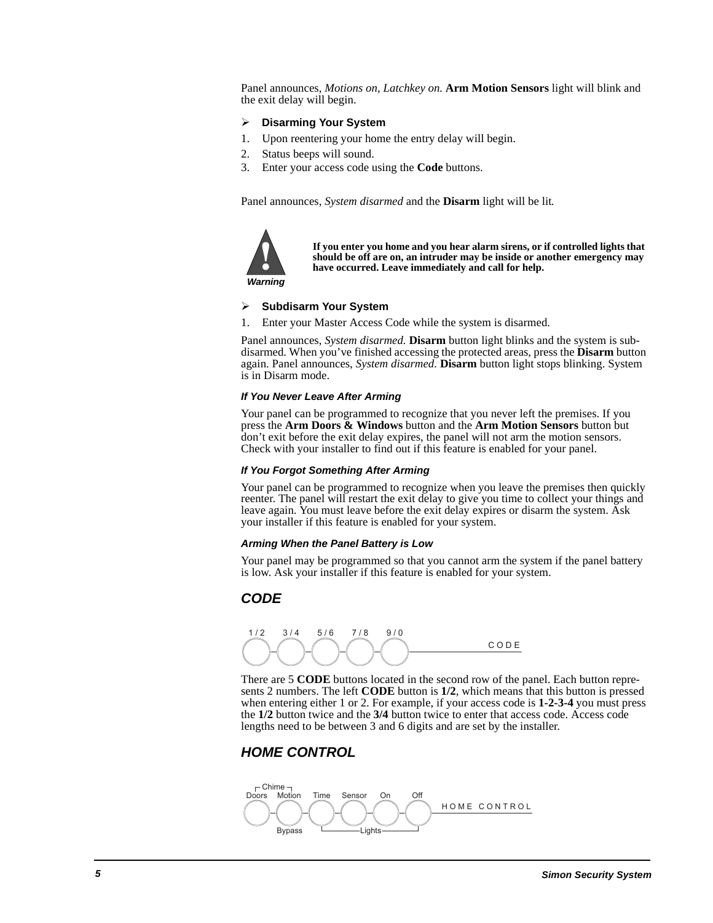Panel announces, *Motions on, Latchkey on.* **Arm Motion Sensors** light will blink and the exit delay will begin.

#### $\blacktriangleright$ **Disarming Your System**

- 1. Upon reentering your home the entry delay will begin.
- 2. Status beeps will sound.
- 3. Enter your access code using the **Code** buttons.

Panel announces, *System disarmed* and the **Disarm** light will be lit*.*



**If you enter you home and you hear alarm sirens, or if controlled lights that should be off are on, an intruder may be inside or another emergency may have occurred. Leave immediately and call for help.**

**Warning**

#### $\blacktriangleright$ **Subdisarm Your System** ur<br>er

1. Enter your Master Access Code while the system is disarmed.

Panel announces, *System disarmed.* **Disarm** button light blinks and the system is subdisarmed. When you've finished accessing the protected areas, press the **Disarm** button again. Panel announces, *System disarmed.* **Disarm** button light stops blinking. System is in Disarm mode.

#### **If You Never Leave After Arming**

Your panel can be programmed to recognize that you never left the premises. If you press the **Arm Doors & Windows** button and the **Arm Motion Sensors** button but don't exit before the exit delay expires, the panel will not arm the motion sensors. Check with your installer to find out if this feature is enabled for your panel.

#### **If You Forgot Something After Arming**

Your panel can be programmed to recognize when you leave the premises then quickly reenter. The panel will restart the exit delay to give you time to collect your things and leave again. You must leave before the exit delay expires or disarm the system. Ask your installer if this feature is enabled for your system.

#### **Arming When the Panel Battery is Low**

Your panel may be programmed so that you cannot arm the system if the panel battery is low. Ask your installer if this feature is enabled for your system.

### **CODE**



There are 5 **CODE** buttons located in the second row of the panel. Each button represents 2 numbers. The left **CODE** button is **1/2**, which means that this button is pressed when entering either 1 or 2. For example, if your access code is **1-2-3-4** you must press the **1/2** button twice and the **3/4** button twice to enter that access code. Access code lengths need to be between 3 and 6 digits and are set by the installer.

### **HOME CONTROL**

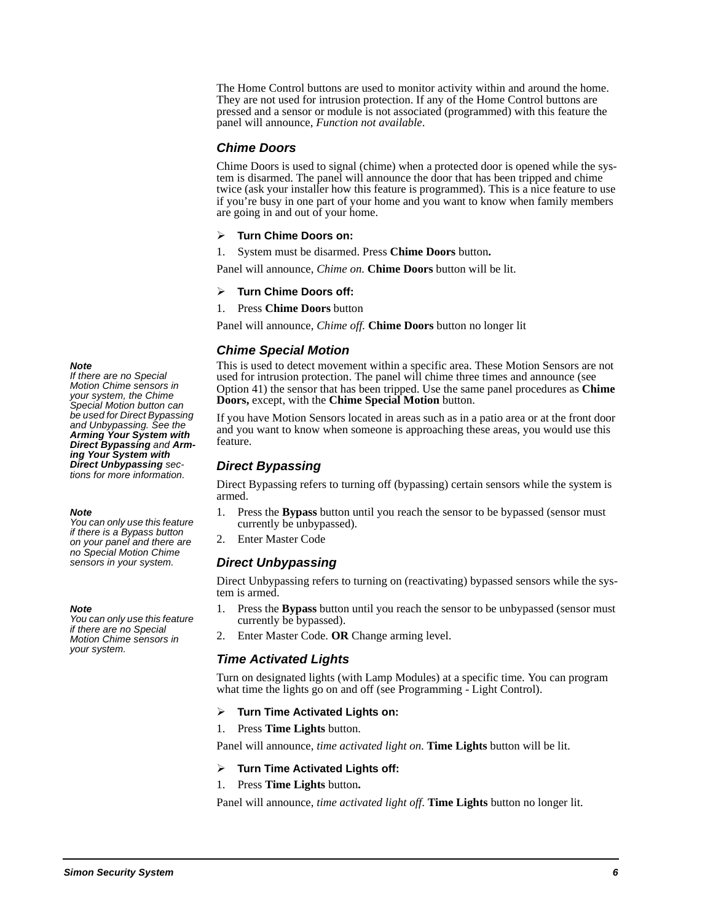The Home Control buttons are used to monitor activity within and around the home. They are not used for intrusion protection. If any of the Home Control buttons are pressed and a sensor or module is not associated (programmed) with this feature the panel will announce, *Function not available*.

#### **Chime Doors**

Chime Doors is used to signal (chime) when a protected door is opened while the system is disarmed. The panel will announce the door that has been tripped and chime twice (ask your installer how this feature is programmed). This is a nice feature to use if you're busy in one part of your home and you want to know when family members are going in and out of your home.

#### $\blacktriangleright$ **Turn Chime Doors on:**

1. System must be disarmed. Press **Chime Doors** button**.**

Panel will announce, *Chime on.* **Chime Doors** button will be lit.

#### $\blacktriangleright$ **Turn Chime Doors off:**

1. Press **Chime Doors** button

Panel will announce, *Chime off.* **Chime Doors** button no longer lit

#### **Chime Special Motion**

This is used to detect movement within a specific area. These Motion Sensors are not used for intrusion protection. The panel will chime three times and announce (see Option 41) the sensor that has been tripped. Use the same panel procedures as **Chime Doors,** except, with the **Chime Special Motion** button.

If you have Motion Sensors located in areas such as in a patio area or at the front door and you want to know when someone is approaching these areas, you would use this feature.

### **Direct Bypassing**

Direct Bypassing refers to turning off (bypassing) certain sensors while the system is armed.

- 1. Press the **Bypass** button until you reach the sensor to be bypassed (sensor must currently be unbypassed).
- 2. Enter Master Code

### **Direct Unbypassing**

Direct Unbypassing refers to turning on (reactivating) bypassed sensors while the system is armed.

- 1. Press the **Bypass** button until you reach the sensor to be unbypassed (sensor must currently be bypassed).
- 2. Enter Master Code. **OR** Change arming level.

#### **Time Activated Lights**

Turn on designated lights (with Lamp Modules) at a specific time. You can program what time the lights go on and off (see Programming - Light Control).

#### $\triangleright$ **Turn Time Activated Lights on:**

1. Press **Time Lights** button.

Panel will announce, *time activated light on*. **Time Lights** button will be lit.

#### $\blacktriangleright$ **Turn Time Activated Lights off:**

#### 1. Press **Time Lights** button**.**

Panel will announce, *time activated light off*. **Time Lights** button no longer lit.

#### **Note**

If there are no Special Motion Chime sensors in your system, the Chime Special Motion button can be used for Direct Bypassing and Unbypassing. See the **Arming Your System with Direct Bypassing** and **Arming Your System with Direct Unbypassing** sections for more information.

#### **Note**

You can only use this feature if there is a Bypass button on your panel and there are no Special Motion Chime sensors in your system.

#### **Note**

You can only use this feature if there are no Special Motion Chime sensors in your system.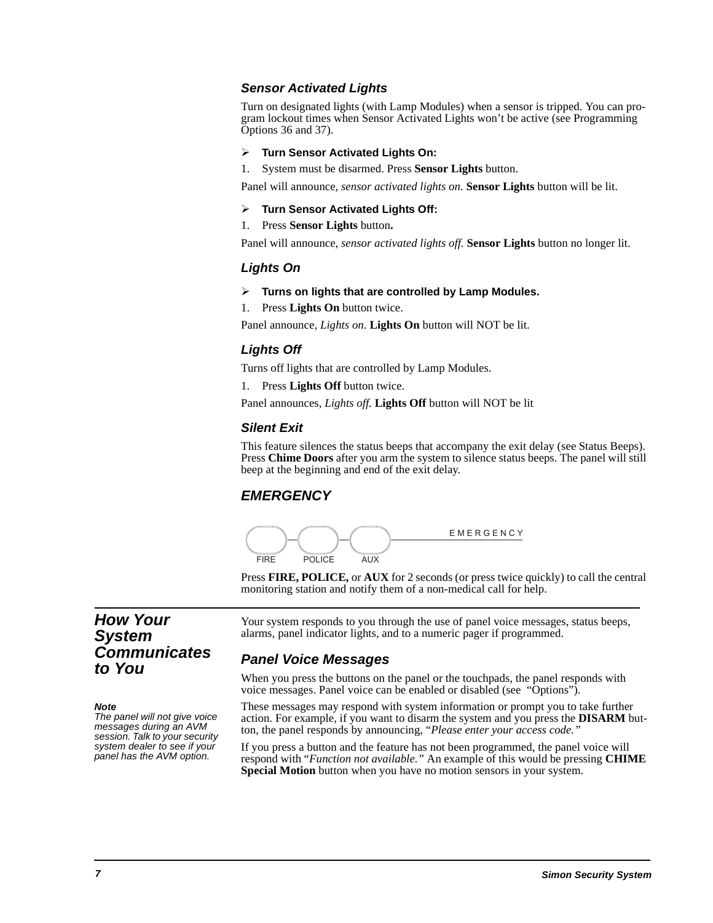#### **Sensor Activated Lights**

Turn on designated lights (with Lamp Modules) when a sensor is tripped. You can program lockout times when Sensor Activated Lights won't be active (see Programming Options 36 and 37).

#### $\blacktriangleright$ **Turn Sensor Activated Lights On:**

1. System must be disarmed. Press **Sensor Lights** button.

Panel will announce, *sensor activated lights on.* **Sensor Lights** button will be lit.

#### -**Turn Sensor Activated Lights Off:**

1. Press **Sensor Lights** button**.**

Panel will announce, *sensor activated lights off.* **Sensor Lights** button no longer lit.

### **Lights On**

#### > Turns on lights that are controlled by Lamp Modules.

1. Press **Lights On** button twice.

Panel announce, *Lights on*. **Lights On** button will NOT be lit.

### **Lights Off**

Turns off lights that are controlled by Lamp Modules.

1. Press **Lights Off** button twice.

Panel announces, *Lights off.* **Lights Off** button will NOT be lit

#### **Silent Exit**

This feature silences the status beeps that accompany the exit delay (see Status Beeps). Press **Chime Doors** after you arm the system to silence status beeps. The panel will still beep at the beginning and end of the exit delay.

### **EMERGENCY**



Press **FIRE, POLICE,** or **AUX** for 2 seconds (or press twice quickly) to call the central monitoring station and notify them of a non-medical call for help.

### **How Your System Communicates to You**

#### **Note**

The panel will not give voice messages during an AVM session. Talk to your security system dealer to see if your panel has the AVM option.

Your system responds to you through the use of panel voice messages, status beeps, alarms, panel indicator lights, and to a numeric pager if programmed.

### **Panel Voice Messages**

When you press the buttons on the panel or the touchpads, the panel responds with voice messages. Panel voice can be enabled or disabled (see "Options").

These messages may respond with system information or prompt you to take further action. For example, if you want to disarm the system and you press the **DISARM** button, the panel responds by announcing, "*Please enter your access code."*

If you press a button and the feature has not been programmed, the panel voice will respond with "*Function not available."* An example of this would be pressing **CHIME Special Motion** button when you have no motion sensors in your system.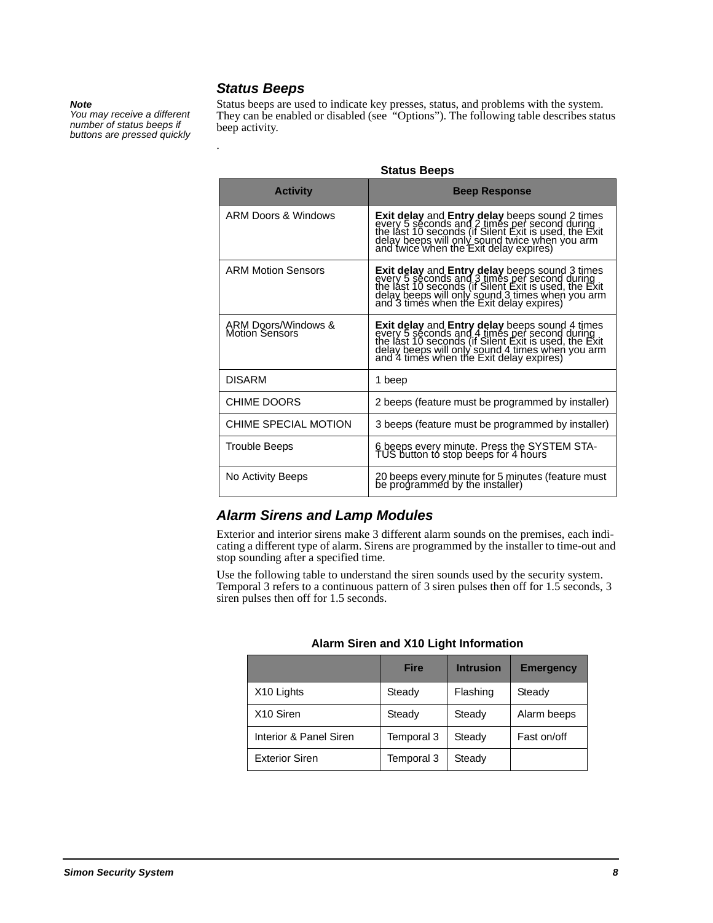#### **Note**

You may receive a different number of status beeps if buttons are pressed quickly **Status Beeps**

.

Status beeps are used to indicate key presses, status, and problems with the system. They can be enabled or disabled (see "Options"). The following table describes status beep activity.

| <b>Activity</b>                              | uuuuu buupu<br><b>Beep Response</b>                                                                                                                                                                                                             |
|----------------------------------------------|-------------------------------------------------------------------------------------------------------------------------------------------------------------------------------------------------------------------------------------------------|
| ARM Doors & Windows                          | Exit delay and Entry delay beeps sound 2 times<br>every 5 seconds and 2 times per second during<br>the last 10 seconds (if Silent Exit tis used, the Exit<br>delay beeps will only sound twice when you arm<br>and twice when the Exit del      |
| <b>ARM Motion Sensors</b>                    | <b>Exit delay and Entry delay</b> beeps sound 3 times<br>every 5 seconds and 3 times per second during<br>the last 10 seconds (if Silent Exit is used, the Exit<br>delay beeps will only sound 3 times when you arm<br>and 3 times when the Exi |
| ARM Doors/Windows &<br><b>Motion Sensors</b> | <b>Exit delay and Entry delay</b> beeps sound 4 times<br>every 5 seconds and 4 times per second during<br>the last 10 seconds (if Silent Exit<br>delay beeps will only sound 4 times when you arm<br>and 4 times when the Exit delay expires)   |
| <b>DISARM</b>                                | 1 beep                                                                                                                                                                                                                                          |
| <b>CHIME DOORS</b>                           | 2 beeps (feature must be programmed by installer)                                                                                                                                                                                               |
| CHIME SPECIAL MOTION                         | 3 beeps (feature must be programmed by installer)                                                                                                                                                                                               |
| Trouble Beeps                                | 6 beeps every minute. Press the SYSTEM STA-<br>TUS button to stop beeps for 4 hours                                                                                                                                                             |
| No Activity Beeps                            | 20 beeps every minute for 5 minutes (feature must<br>be programmed by the installer)                                                                                                                                                            |

#### **Status Beeps**

### **Alarm Sirens and Lamp Modules**

Exterior and interior sirens make 3 different alarm sounds on the premises, each indicating a different type of alarm. Sirens are programmed by the installer to time-out and stop sounding after a specified time.

Use the following table to understand the siren sounds used by the security system. Temporal 3 refers to a continuous pattern of 3 siren pulses then off for 1.5 seconds, 3 siren pulses then off for 1.5 seconds.

|                        | <b>Fire</b> | <b>Intrusion</b> | <b>Emergency</b> |
|------------------------|-------------|------------------|------------------|
| X <sub>10</sub> Lights | Steady      | Flashing         | Steady           |
| X <sub>10</sub> Siren  | Steady      | Steady           | Alarm beeps      |
| Interior & Panel Siren | Temporal 3  | Steady           | Fast on/off      |
| <b>Exterior Siren</b>  | Temporal 3  | Steady           |                  |

**Alarm Siren and X10 Light Information**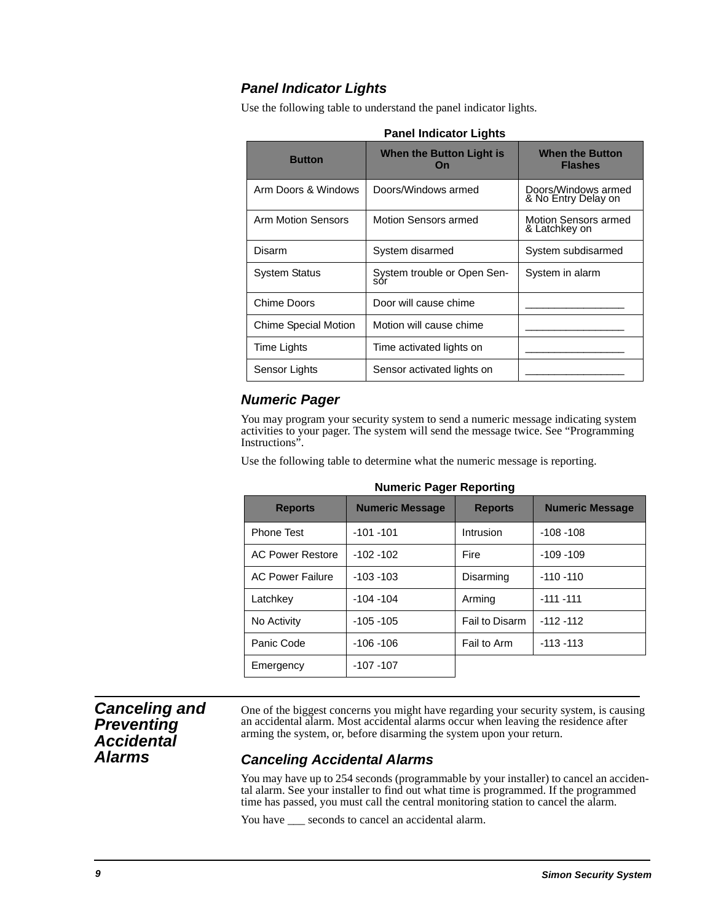# **Panel Indicator Lights**

Use the following table to understand the panel indicator lights.

| <b>Button</b>               | When the Button Light is<br>On     | <b>When the Button</b><br><b>Flashes</b>     |
|-----------------------------|------------------------------------|----------------------------------------------|
| Arm Doors & Windows         | Doors/Windows armed                | Doors/Windows armed<br>& No Entry Delay on   |
| Arm Motion Sensors          | Motion Sensors armed               | <b>Motion Sensors armed</b><br>& Latchkey on |
| Disarm                      | System disarmed                    | System subdisarmed                           |
| <b>System Status</b>        | System trouble or Open Sen-<br>sór | System in alarm                              |
| Chime Doors                 | Door will cause chime              |                                              |
| <b>Chime Special Motion</b> | Motion will cause chime            |                                              |
| Time Lights                 | Time activated lights on           |                                              |
| Sensor Lights               | Sensor activated lights on         |                                              |

#### **Panel Indicator Lights**

### **Numeric Pager**

You may program your security system to send a numeric message indicating system activities to your pager. The system will send the message twice. See "Programming Instructions".

Use the following table to determine what the numeric message is reporting.

| Numeric Pager Reporting |                        |                |                        |
|-------------------------|------------------------|----------------|------------------------|
| <b>Reports</b>          | <b>Numeric Message</b> | <b>Reports</b> | <b>Numeric Message</b> |
| <b>Phone Test</b>       | $-101 - 101$           | Intrusion      | $-108 - 108$           |
| <b>AC Power Restore</b> | $-102 - 102$           | Fire           | $-109 - 109$           |
| <b>AC Power Failure</b> | $-103 - 103$           | Disarming      | $-110 - 110$           |
| Latchkey                | $-104 - 104$           | Arming         | $-111 - 111$           |
| No Activity             | $-105 - 105$           | Fail to Disarm | $-112 - 112$           |
| Panic Code              | $-106 - 106$           | Fail to Arm    | $-113 - 113$           |
| Emergency               | $-107 - 107$           |                |                        |

### **Numeric Pager Reporting**

### **Canceling and Preventing Accidental Alarms**

One of the biggest concerns you might have regarding your security system, is causing an accidental alarm. Most accidental alarms occur when leaving the residence after arming the system, or, before disarming the system upon your return.

### **Canceling Accidental Alarms**

You may have up to 254 seconds (programmable by your installer) to cancel an accidental alarm. See your installer to find out what time is programmed. If the programmed time has passed, you must call the central monitoring station to cancel the alarm.

You have  $\_\_\$ seconds to cancel an accidental alarm.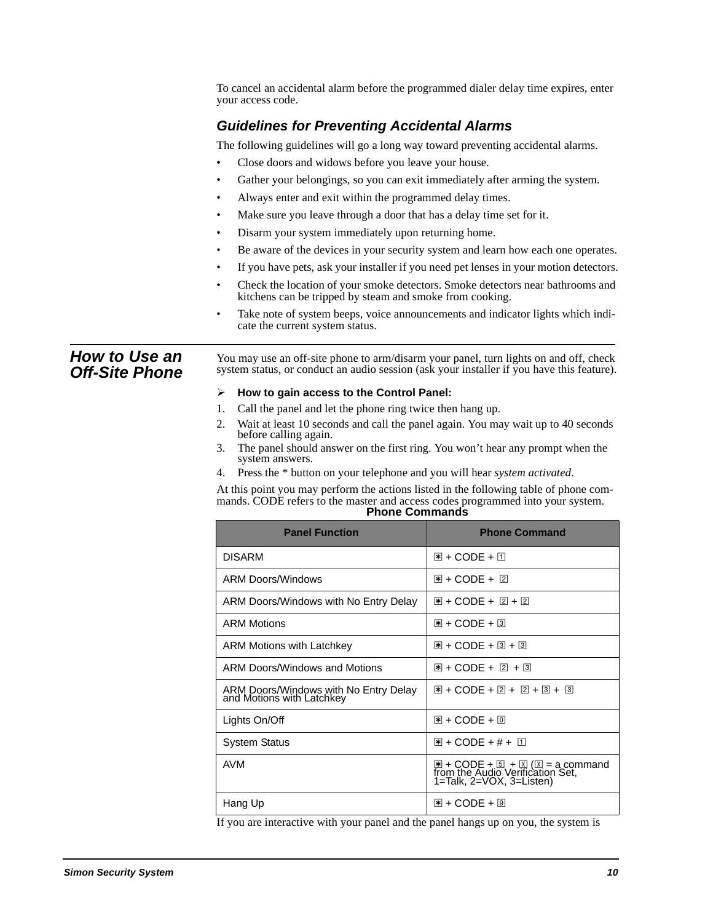|                                               | To cancel an accidental alarm before the programmed dialer delay time expires, enter<br>your access code.                                                                                        |                                                                                                                                              |  |
|-----------------------------------------------|--------------------------------------------------------------------------------------------------------------------------------------------------------------------------------------------------|----------------------------------------------------------------------------------------------------------------------------------------------|--|
|                                               | <b>Guidelines for Preventing Accidental Alarms</b>                                                                                                                                               |                                                                                                                                              |  |
|                                               | The following guidelines will go a long way toward preventing accidental alarms.                                                                                                                 |                                                                                                                                              |  |
|                                               | Close doors and widows before you leave your house.<br>$\bullet$                                                                                                                                 |                                                                                                                                              |  |
|                                               | Gather your belongings, so you can exit immediately after arming the system.<br>$\bullet$                                                                                                        |                                                                                                                                              |  |
|                                               | Always enter and exit within the programmed delay times.<br>$\bullet$                                                                                                                            |                                                                                                                                              |  |
|                                               | Make sure you leave through a door that has a delay time set for it.<br>$\bullet$                                                                                                                |                                                                                                                                              |  |
|                                               | Disarm your system immediately upon returning home.<br>$\bullet$                                                                                                                                 |                                                                                                                                              |  |
|                                               | $\bullet$                                                                                                                                                                                        | Be aware of the devices in your security system and learn how each one operates.                                                             |  |
|                                               | $\bullet$                                                                                                                                                                                        | If you have pets, ask your installer if you need pet lenses in your motion detectors.                                                        |  |
|                                               | $\bullet$<br>kitchens can be tripped by steam and smoke from cooking.                                                                                                                            | Check the location of your smoke detectors. Smoke detectors near bathrooms and                                                               |  |
|                                               | Take note of system beeps, voice announcements and indicator lights which indi-<br>$\bullet$<br>cate the current system status.                                                                  |                                                                                                                                              |  |
| <b>How to Use an</b><br><b>Off-Site Phone</b> | You may use an off-site phone to arm/disarm your panel, turn lights on and off, check<br>system status, or conduct an audio session (ask your installer if you have this feature).               |                                                                                                                                              |  |
|                                               | How to gain access to the Control Panel:<br>➤                                                                                                                                                    |                                                                                                                                              |  |
|                                               | Call the panel and let the phone ring twice then hang up.<br>1.                                                                                                                                  |                                                                                                                                              |  |
|                                               | Wait at least 10 seconds and call the panel again. You may wait up to 40 seconds<br>2.<br>before calling again.                                                                                  |                                                                                                                                              |  |
|                                               | The panel should answer on the first ring. You won't hear any prompt when the<br>3.<br>system answers.                                                                                           |                                                                                                                                              |  |
|                                               | Press the * button on your telephone and you will hear system activated.<br>4.                                                                                                                   |                                                                                                                                              |  |
|                                               | At this point you may perform the actions listed in the following table of phone com-<br>mands. CODE refers to the master and access codes programmed into your system.<br><b>Phone Commands</b> |                                                                                                                                              |  |
|                                               | <b>Panel Function</b>                                                                                                                                                                            | <b>Phone Command</b>                                                                                                                         |  |
|                                               | <b>DISARM</b>                                                                                                                                                                                    | $\mathbb{E}$ + CODE + $\mathbb{I}$                                                                                                           |  |
|                                               | <b>ARM Doors/Windows</b>                                                                                                                                                                         | 图 + CODE + 2                                                                                                                                 |  |
|                                               | ARM Doors/Windows with No Entry Delay                                                                                                                                                            | 图 + CODE + 2 + 2                                                                                                                             |  |
|                                               | <b>ARM Motions</b>                                                                                                                                                                               | 图 + CODE + 3                                                                                                                                 |  |
|                                               | ARM Motions with Latchkey                                                                                                                                                                        | $\boxed{18} + \text{CODE} + \boxed{3} + \boxed{3}$                                                                                           |  |
|                                               | ARM Doors/Windows and Motions                                                                                                                                                                    | 图 + CODE + 2 + 3                                                                                                                             |  |
|                                               | ARM Doors/Windows with No Entry Delay<br>and Motions with Latchkey                                                                                                                               | $\mathbb{R}$ + CODE + 2 + 2 + 3 + 3                                                                                                          |  |
|                                               | Lights On/Off                                                                                                                                                                                    | $\mathbb{E}$ + CODE + $\mathbb{E}$                                                                                                           |  |
|                                               | <b>System Status</b>                                                                                                                                                                             | $\mathbb{H}$ + CODE + # + $\mathbb{II}$                                                                                                      |  |
|                                               | <b>AVM</b>                                                                                                                                                                                       | $\mathbb{E}$ + CODE + $\mathbb{E}$ + $\mathbb{E}$ ( $\mathbb{E}$ = a command<br>from the Audio Verification Set,<br>1=Talk, 2=VOX, 3=Listen) |  |

If you are interactive with your panel and the panel hangs up on you, the system is

Hang Up  $\qquad \qquad \qquad \qquad$   $\mathbb{R}$  + CODE + 9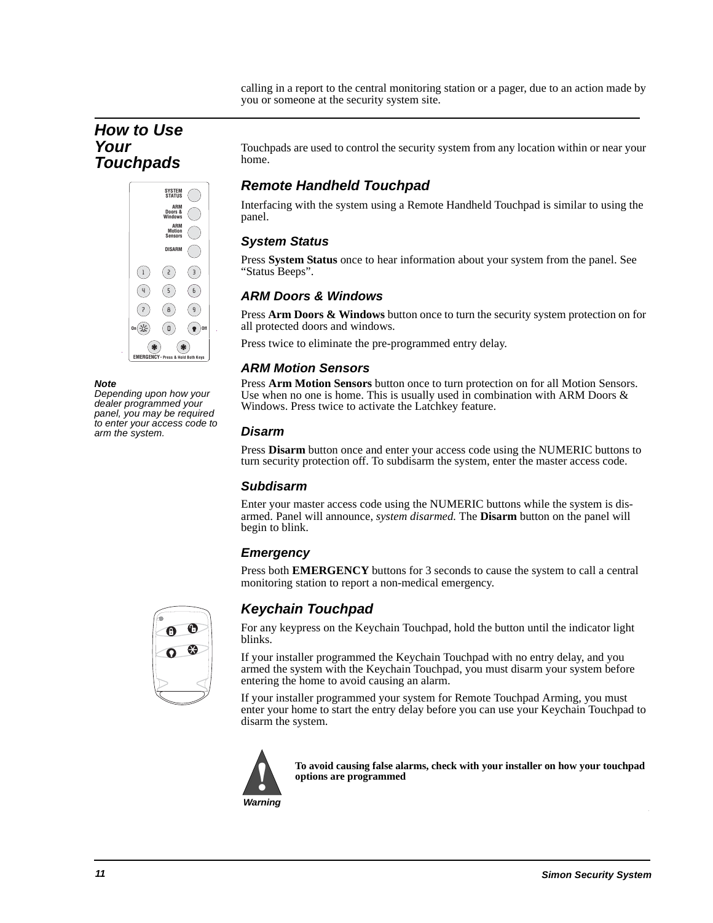calling in a report to the central monitoring station or a pager, due to an action made by you or someone at the security system site.

# **How to Use Your Touchpads**



**Note** 

Depending upon how your dealer programmed your panel, you may be required to enter your access code to arm the system.

Touchpads are used to control the security system from any location within or near your home.

# **Remote Handheld Touchpad**

Interfacing with the system using a Remote Handheld Touchpad is similar to using the panel.

### **System Status**

Press **System Status** once to hear information about your system from the panel. See "Status Beeps".

### **ARM Doors & Windows**

Press **Arm Doors & Windows** button once to turn the security system protection on for all protected doors and windows.

Press twice to eliminate the pre-programmed entry delay.

### **ARM Motion Sensors**

Press **Arm Motion Sensors** button once to turn protection on for all Motion Sensors. Use when no one is home. This is usually used in combination with ARM Doors  $\&$ Windows. Press twice to activate the Latchkey feature.

### **Disarm**

Press **Disarm** button once and enter your access code using the NUMERIC buttons to turn security protection off. To subdisarm the system, enter the master access code.

### **Subdisarm**

Enter your master access code using the NUMERIC buttons while the system is disarmed. Panel will announce, *system disarmed.* The **Disarm** button on the panel will begin to blink.

### **Emergency**

Press both **EMERGENCY** buttons for 3 seconds to cause the system to call a central monitoring station to report a non-medical emergency.



# **Keychain Touchpad**

For any keypress on the Keychain Touchpad, hold the button until the indicator light blinks.

If your installer programmed the Keychain Touchpad with no entry delay, and you armed the system with the Keychain Touchpad, you must disarm your system before entering the home to avoid causing an alarm.

If your installer programmed your system for Remote Touchpad Arming, you must enter your home to start the entry delay before you can use your Keychain Touchpad to disarm the system.



**To avoid causing false alarms, check with your installer on how your touchpad options are programmed**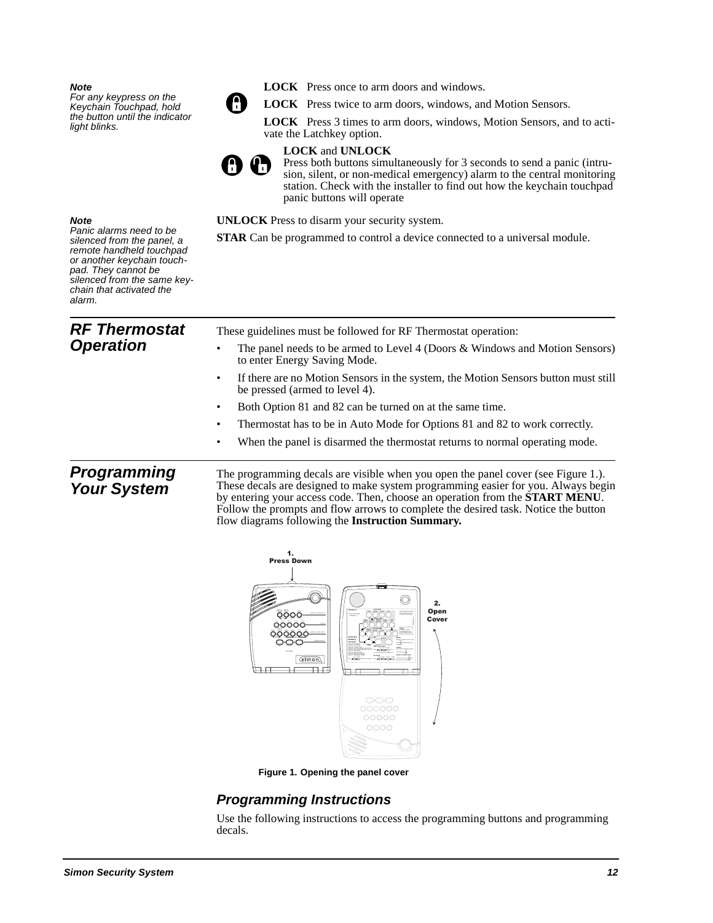#### **Note**

For any keypress on the Keychain Touchpad, hold the button until the indicator light blinks.



**LOCK** Press once to arm doors and windows.

**LOCK** Press twice to arm doors, windows, and Motion Sensors.

**LOCK** Press 3 times to arm doors, windows, Motion Sensors, and to activate the Latchkey option.



#### **LOCK** and **UNLOCK**

Press both buttons simultaneously for 3 seconds to send a panic (intrusion, silent, or non-medical emergency) alarm to the central monitoring station. Check with the installer to find out how the keychain touchpad panic buttons will operate

**UNLOCK** Press to disarm your security system.

**STAR** Can be programmed to control a device connected to a universal module.

#### **Note**

Panic alarms need to be silenced from the panel, a remote handheld touchpad or another keychain touchpad. They cannot be silenced from the same keychain that activated the alarm.

| <b>RF Thermostat</b><br><b>Operation</b> | These guidelines must be followed for RF Thermostat operation:<br>The panel needs to be armed to Level 4 (Doors & Windows and Motion Sensors)<br>to enter Energy Saving Mode.                                                                                                                                                                        |
|------------------------------------------|------------------------------------------------------------------------------------------------------------------------------------------------------------------------------------------------------------------------------------------------------------------------------------------------------------------------------------------------------|
|                                          | If there are no Motion Sensors in the system, the Motion Sensors button must still<br>٠<br>be pressed (armed to level 4).                                                                                                                                                                                                                            |
|                                          | Both Option 81 and 82 can be turned on at the same time.                                                                                                                                                                                                                                                                                             |
|                                          | Thermostat has to be in Auto Mode for Options 81 and 82 to work correctly.                                                                                                                                                                                                                                                                           |
|                                          | When the panel is disarmed the thermostat returns to normal operating mode.<br>٠                                                                                                                                                                                                                                                                     |
| <b>Programming</b><br><b>Your System</b> | The programming decals are visible when you open the panel cover (see Figure 1.).<br>These decals are designed to make system programming easier for you. Always begin<br>by entering your access code. Then, choose an operation from the <b>START MENU</b> .<br>Follow the prompts and flow arrows to complete the desired task. Notice the button |

flow diagrams following the **Instruction Summary.**



**Figure 1. Opening the panel cover**

### **Programming Instructions**

Use the following instructions to access the programming buttons and programming decals.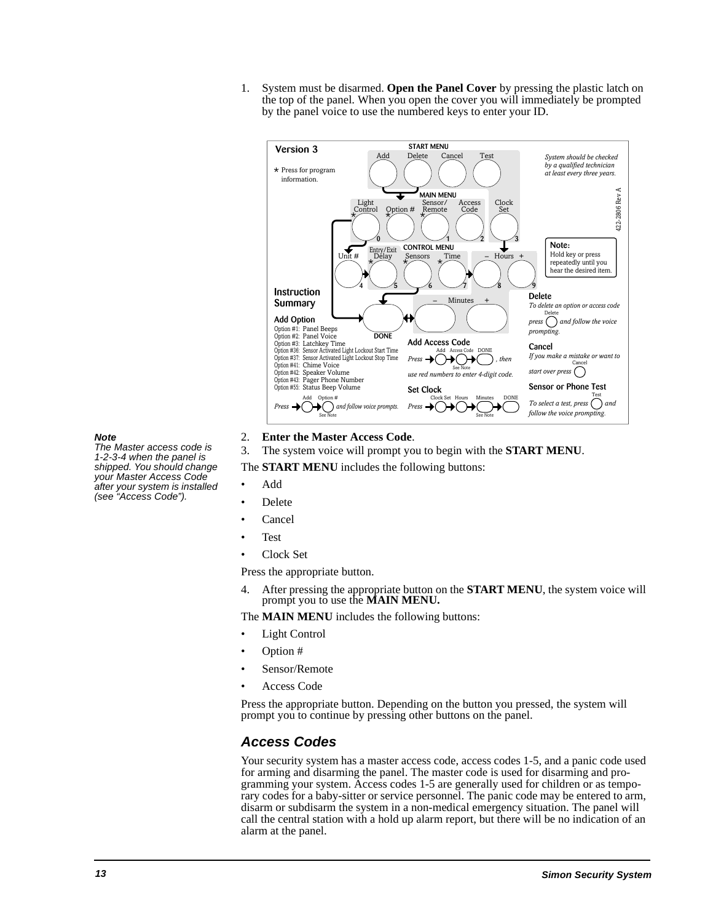1. System must be disarmed. **Open the Panel Cover** by pressing the plastic latch on the top of the panel. When you open the cover you will immediately be prompted by the panel voice to use the numbered keys to enter your ID.



#### **Note**

The Master access code is 1-2-3-4 when the panel is shipped. You should change your Master Access Code after your system is installed (see "Access Code").

- 2. **Enter the Master Access Code**.
- 3. The system voice will prompt you to begin with the **START MENU**.

The **START MENU** includes the following buttons:

- Add
- Delete
- Cancel
- Test
- Clock Set

Press the appropriate button.

4. After pressing the appropriate button on the **START MENU**, the system voice will prompt you to use the **MAIN MENU.**

The **MAIN MENU** includes the following buttons:

- **Light Control**
- Option #
- Sensor/Remote
- Access Code

Press the appropriate button. Depending on the button you pressed, the system will prompt you to continue by pressing other buttons on the panel.

### **Access Codes**

Your security system has a master access code, access codes 1-5, and a panic code used for arming and disarming the panel. The master code is used for disarming and programming your system. Access codes 1-5 are generally used for children or as temporary codes for a baby-sitter or service personnel. The panic code may be entered to arm, disarm or subdisarm the system in a non-medical emergency situation. The panel will call the central station with a hold up alarm report, but there will be no indication of an alarm at the panel.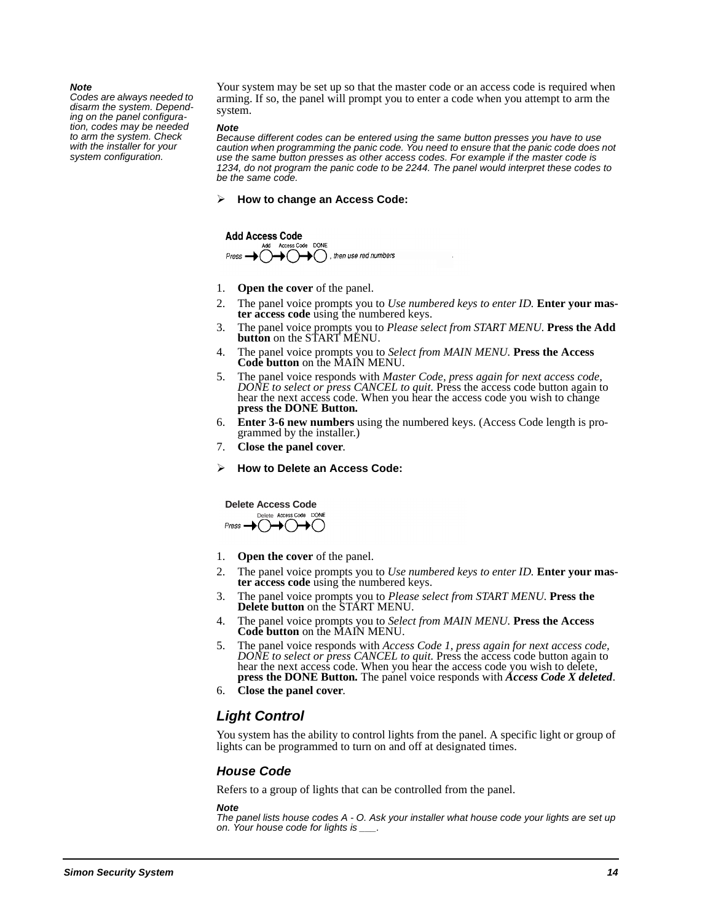#### **Note**

Codes are always needed to disarm the system. Depending on the panel configuration, codes may be needed to arm the system. Check with the installer for your system configuration.

Your system may be set up so that the master code or an access code is required when arming. If so, the panel will prompt you to enter a code when you attempt to arm the system.

#### **Note**

Because different codes can be entered using the same button presses you have to use caution when programming the panic code. You need to ensure that the panic code does not use the same button presses as other access codes. For example if the master code is 1234, do not program the panic code to be 2244. The panel would interpret these codes to be the same code.

#### $\blacktriangleright$ **How to change an Access Code:**

**Add Access Code** DONE  $\rightarrow$  ( ), then use red numbers

- 1. **Open the cover** of the panel.
- 2. The panel voice prompts you to *Use numbered keys to enter ID.* **Enter your master access code** using the numbered keys.
- 3. The panel voice prompts you to *Please select from START MENU.* **Press the Add button** on the START MENU.
- 4. The panel voice prompts you to *Select from MAIN MENU.* **Press the Access Code button** on the MAIN MENU.
- 5. The panel voice responds with *Master Code, press again for next access code, DONE to select or press CANCEL to quit.* Press the access code button again to hear the next access code. When you hear the access code you wish to change **press the DONE Button***.*
- 6. **Enter 3-6 new numbers** using the numbered keys. (Access Code length is programmed by the installer.)
- 7. **Close the panel cover**.
- $\blacktriangleright$ **How to Delete an Access Code:**



- 1. **Open the cover** of the panel.
- 2. The panel voice prompts you to *Use numbered keys to enter ID.* **Enter your master access code** using the numbered keys.
- 3. The panel voice prompts you to *Please select from START MENU.* **Press the Delete button** on the START MENU.
- 4. The panel voice prompts you to *Select from MAIN MENU.* **Press the Access Code button** on the MAIN MENU.
- 5. The panel voice responds with *Access Code 1, press again for next access code, DONE to select or press CANCEL to quit.* Press the access code button again to hear the next access code. When you hear the access code you wish to delete, **press the DONE Button***.* The panel voice responds with *Access Code X deleted*.
- 6. **Close the panel cover**.

### **Light Control**

You system has the ability to control lights from the panel. A specific light or group of lights can be programmed to turn on and off at designated times.

#### **House Code**

Refers to a group of lights that can be controlled from the panel.

#### **Note**

The panel lists house codes A - O. Ask your installer what house code your lights are set up on. Your house code for lights is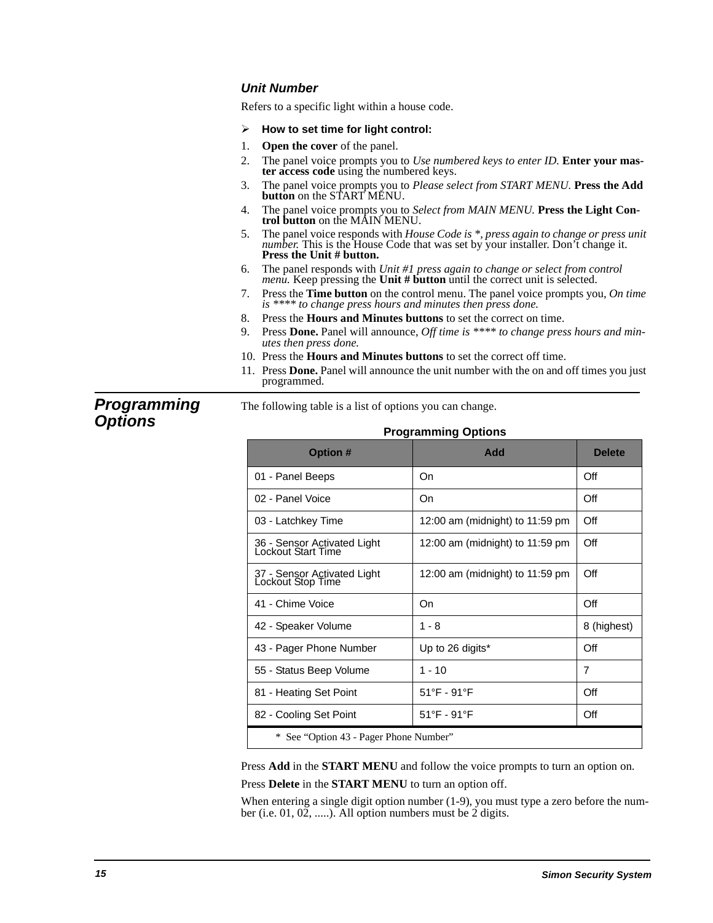### **Unit Number**

Refers to a specific light within a house code.

- -**How to set time for light control:**
- 1. **Open the cover** of the panel.
- 2. The panel voice prompts you to *Use numbered keys to enter ID.* **Enter your master access code** using the numbered keys.
- 3. The panel voice prompts you to *Please select from START MENU.* **Press the Add button** on the START MENU.
- 4. The panel voice prompts you to *Select from MAIN MENU.* **Press the Light Control button** on the MAIN MENU.
- 5. The panel voice responds with *House Code is \*, press again to change or press unit number.* This is the House Code that was set by your installer. Don't change it. **Press the Unit # button.**
- 6. The panel responds with *Unit #1 press again to change or select from control menu.* Keep pressing the **Unit # button** until the correct unit is selected.
- 7. Press the **Time button** on the control menu. The panel voice prompts you, *On time is \*\*\*\* to change press hours and minutes then press done.*
- 8. Press the **Hours and Minutes buttons** to set the correct on time.
- 9. Press **Done.** Panel will announce, *Off time is \*\*\*\* to change press hours and minutes then press done.*
- 10. Press the **Hours and Minutes buttons** to set the correct off time.
- 11. Press **Done.** Panel will announce the unit number with the on and off times you just programmed.

**Programming Options**

# **Programming Options**

The following table is a list of options you can change.

| Programming Options                               |                                   |               |
|---------------------------------------------------|-----------------------------------|---------------|
| <b>Option #</b>                                   | Add                               | <b>Delete</b> |
| 01 - Panel Beeps                                  | On                                | Off           |
| 02 - Panel Voice                                  | On                                | Off           |
| 03 - Latchkey Time                                | 12:00 am (midnight) to 11:59 pm   | Off           |
| 36 - Sensor Activated Light<br>Lockout Start Time | 12:00 am (midnight) to $11:59$ pm | Off           |
| 37 - Sensor Activated Light<br>Lockout Stop Time  | 12:00 am (midnight) to $11:59$ pm | Off           |
| 41 - Chime Voice                                  | On                                | Off           |
| 42 - Speaker Volume                               | $1 - 8$                           | 8 (highest)   |
| 43 - Pager Phone Number                           | Up to 26 digits*                  | Off           |
| 55 - Status Beep Volume                           | $1 - 10$                          | 7             |
| 81 - Heating Set Point                            | $51^{\circ}$ F - 91 $^{\circ}$ F  | Off           |
| 82 - Cooling Set Point                            | $51^{\circ}$ F - 91 $^{\circ}$ F  | Off           |
| * See "Option 43 - Pager Phone Number"            |                                   |               |

Press **Add** in the **START MENU** and follow the voice prompts to turn an option on. Press **Delete** in the **START MENU** to turn an option off.

When entering a single digit option number (1-9), you must type a zero before the number (i.e. 01, 02, .....). All option numbers must be 2 digits.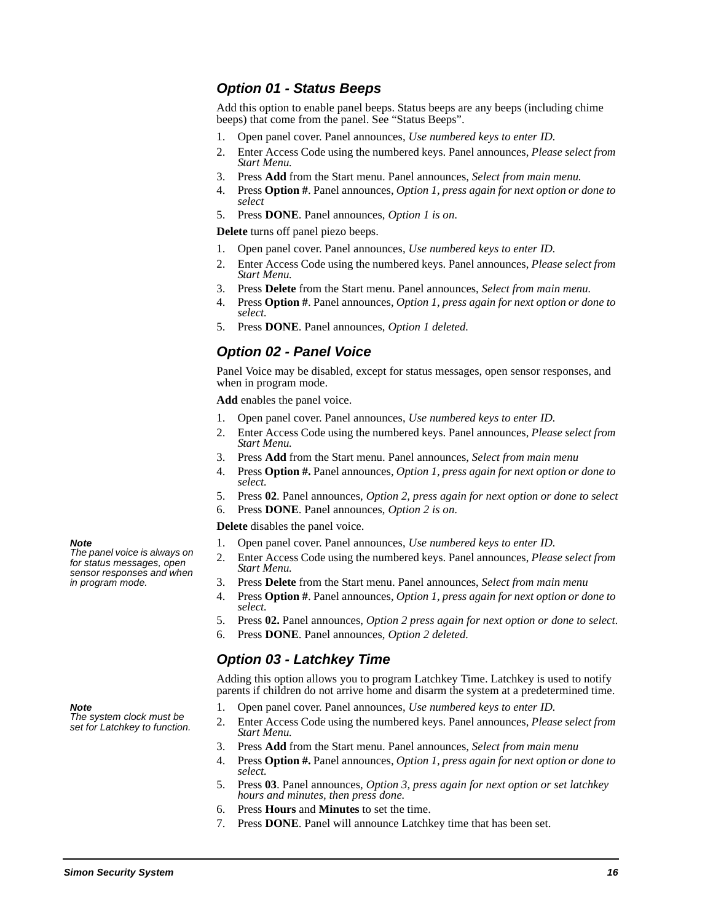### **Option 01 - Status Beeps**

Add this option to enable panel beeps. Status beeps are any beeps (including chime beeps) that come from the panel. See "Status Beeps".

- 1. Open panel cover. Panel announces, *Use numbered keys to enter ID.*
- 2. Enter Access Code using the numbered keys. Panel announces, *Please select from Start Menu.*
- 3. Press **Add** from the Start menu. Panel announces, *Select from main menu.*
- 4. Press **Option #**. Panel announces, *Option 1, press again for next option or done to select*
- 5. Press **DONE**. Panel announces, *Option 1 is on*.

**Delete** turns off panel piezo beeps.

- 1. Open panel cover. Panel announces, *Use numbered keys to enter ID.*
- 2. Enter Access Code using the numbered keys. Panel announces, *Please select from Start Menu.*
- 3. Press **Delete** from the Start menu. Panel announces, *Select from main menu.*
- 4. Press **Option #**. Panel announces, *Option 1, press again for next option or done to select.*
- 5. Press **DONE**. Panel announces, *Option 1 deleted.*

### **Option 02 - Panel Voice**

Panel Voice may be disabled, except for status messages, open sensor responses, and when in program mode.

**Add** enables the panel voice.

- 1. Open panel cover. Panel announces, *Use numbered keys to enter ID.*
- 2. Enter Access Code using the numbered keys. Panel announces, *Please select from Start Menu.*
- 3. Press **Add** from the Start menu. Panel announces, *Select from main menu*
- 4. Press **Option #.** Panel announces, *Option 1, press again for next option or done to select.*
- 5. Press **02**. Panel announces, *Option 2, press again for next option or done to select*
- 6. Press **DONE**. Panel announces, *Option 2 is on*.

**Delete** disables the panel voice.

- 1. Open panel cover. Panel announces, *Use numbered keys to enter ID.*
- 2. Enter Access Code using the numbered keys. Panel announces, *Please select from Start Menu.*
- 3. Press **Delete** from the Start menu. Panel announces, *Select from main menu*
- 4. Press **Option #**. Panel announces, *Option 1, press again for next option or done to select.*
- 5. Press **02.** Panel announces, *Option 2 press again for next option or done to select.*
- 6. Press **DONE**. Panel announces, *Option 2 deleted.*

### **Option 03 - Latchkey Time**

Adding this option allows you to program Latchkey Time. Latchkey is used to notify parents if children do not arrive home and disarm the system at a predetermined time.

- 1. Open panel cover. Panel announces, *Use numbered keys to enter ID.*
- 2. Enter Access Code using the numbered keys. Panel announces, *Please select from Start Menu.*
- 3. Press **Add** from the Start menu. Panel announces, *Select from main menu*
- 4. Press **Option #.** Panel announces, *Option 1, press again for next option or done to select.*
- 5. Press **03**. Panel announces, *Option 3, press again for next option or set latchkey hours and minutes, then press done.*
- 6. Press **Hours** and **Minutes** to set the time.
- 7. Press **DONE**. Panel will announce Latchkey time that has been set.

#### **Note**

The panel voice is always on for status messages, open sensor responses and when in program mode.

**Note** 

The system clock must be set for Latchkey to function.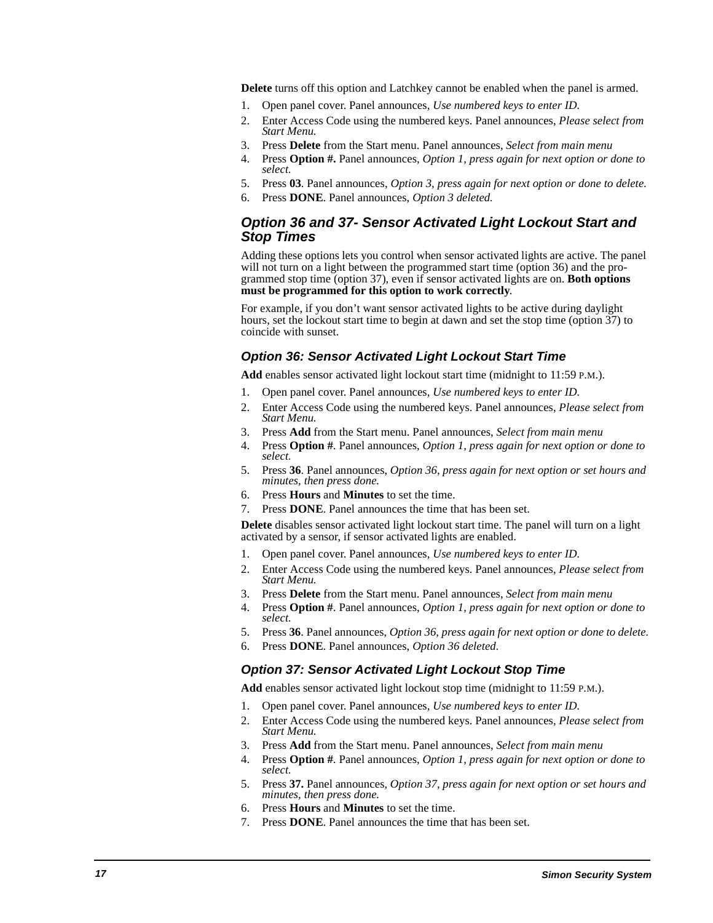**Delete** turns off this option and Latchkey cannot be enabled when the panel is armed.

- 1. Open panel cover. Panel announces, *Use numbered keys to enter ID.*
- 2. Enter Access Code using the numbered keys. Panel announces, *Please select from Start Menu.*
- 3. Press **Delete** from the Start menu. Panel announces, *Select from main menu*
- 4. Press **Option #.** Panel announces, *Option 1, press again for next option or done to select.*
- 5. Press **03**. Panel announces, *Option 3, press again for next option or done to delete.*
- 6. Press **DONE**. Panel announces, *Option 3 deleted.*

### **Option 36 and 37- Sensor Activated Light Lockout Start and Stop Times**

Adding these options lets you control when sensor activated lights are active. The panel will not turn on a light between the programmed start time (option 36) and the programmed stop time (option 37), even if sensor activated lights are on. **Both options must be programmed for this option to work correctly**.

For example, if you don't want sensor activated lights to be active during daylight hours, set the lockout start time to begin at dawn and set the stop time (option 37) to coincide with sunset.

#### **Option 36: Sensor Activated Light Lockout Start Time**

**Add** enables sensor activated light lockout start time (midnight to 11:59 P.M.).

- 1. Open panel cover. Panel announces, *Use numbered keys to enter ID.*
- 2. Enter Access Code using the numbered keys. Panel announces, *Please select from Start Menu.*
- 3. Press **Add** from the Start menu. Panel announces, *Select from main menu*
- 4. Press **Option #**. Panel announces, *Option 1, press again for next option or done to select.*
- 5. Press **36**. Panel announces, *Option 36, press again for next option or set hours and minutes, then press done.*
- 6. Press **Hours** and **Minutes** to set the time.
- 7. Press **DONE**. Panel announces the time that has been set.

**Delete** disables sensor activated light lockout start time. The panel will turn on a light activated by a sensor, if sensor activated lights are enabled.

- 1. Open panel cover. Panel announces, *Use numbered keys to enter ID.*
- 2. Enter Access Code using the numbered keys. Panel announces, *Please select from Start Menu.*
- 3. Press **Delete** from the Start menu. Panel announces, *Select from main menu*
- 4. Press **Option #**. Panel announces, *Option 1, press again for next option or done to select.*
- 5. Press **36**. Panel announces, *Option 36, press again for next option or done to delete.*
- 6. Press **DONE**. Panel announces, *Option 36 deleted.*

#### **Option 37: Sensor Activated Light Lockout Stop Time**

**Add** enables sensor activated light lockout stop time (midnight to 11:59 P.M.).

- 1. Open panel cover. Panel announces, *Use numbered keys to enter ID.*
- 2. Enter Access Code using the numbered keys. Panel announces, *Please select from Start Menu.*
- 3. Press **Add** from the Start menu. Panel announces, *Select from main menu*
- 4. Press **Option #**. Panel announces, *Option 1, press again for next option or done to select.*
- 5. Press **37.** Panel announces, *Option 37, press again for next option or set hours and minutes, then press done.*
- 6. Press **Hours** and **Minutes** to set the time.
- 7. Press **DONE**. Panel announces the time that has been set.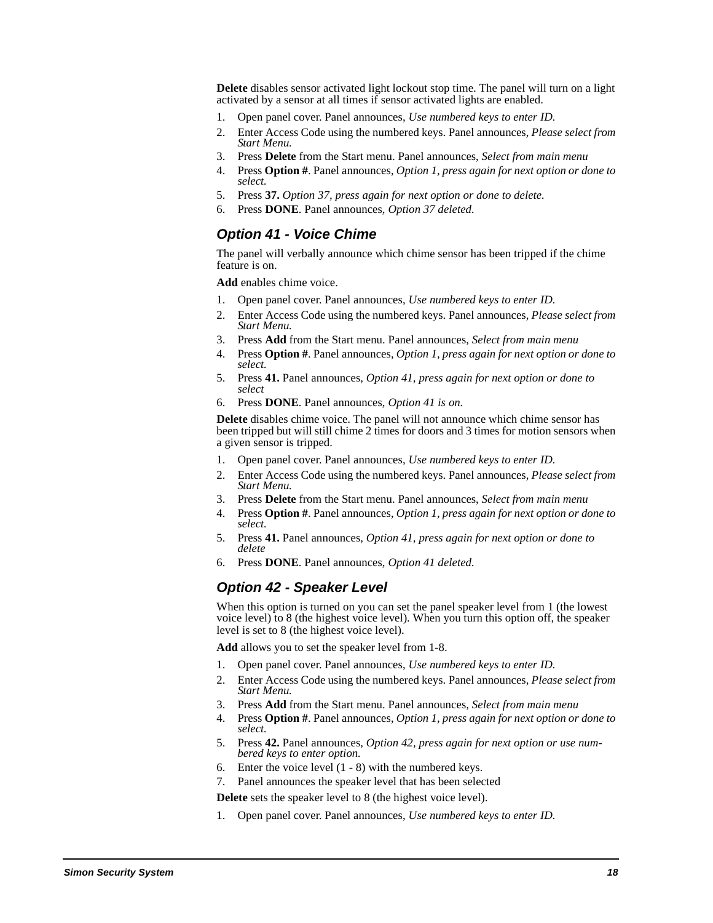**Delete** disables sensor activated light lockout stop time. The panel will turn on a light activated by a sensor at all times if sensor activated lights are enabled.

- 1. Open panel cover. Panel announces, *Use numbered keys to enter ID.*
- 2. Enter Access Code using the numbered keys. Panel announces, *Please select from Start Menu.*
- 3. Press **Delete** from the Start menu. Panel announces, *Select from main menu*
- 4. Press **Option #**. Panel announces, *Option 1, press again for next option or done to select.*
- 5. Press **37.** *Option 37, press again for next option or done to delete.*
- 6. Press **DONE**. Panel announces, *Option 37 deleted.*

### **Option 41 - Voice Chime**

The panel will verbally announce which chime sensor has been tripped if the chime feature is on.

**Add** enables chime voice.

- 1. Open panel cover. Panel announces, *Use numbered keys to enter ID.*
- 2. Enter Access Code using the numbered keys. Panel announces, *Please select from Start Menu.*
- 3. Press **Add** from the Start menu. Panel announces, *Select from main menu*
- 4. Press **Option #**. Panel announces, *Option 1, press again for next option or done to select.*
- 5. Press **41.** Panel announces, *Option 41, press again for next option or done to select*
- 6. Press **DONE**. Panel announces, *Option 41 is on.*

**Delete** disables chime voice. The panel will not announce which chime sensor has been tripped but will still chime 2 times for doors and 3 times for motion sensors when a given sensor is tripped.

- 1. Open panel cover. Panel announces, *Use numbered keys to enter ID.*
- 2. Enter Access Code using the numbered keys. Panel announces, *Please select from Start Menu.*
- 3. Press **Delete** from the Start menu. Panel announces, *Select from main menu*
- 4. Press **Option #**. Panel announces, *Option 1, press again for next option or done to select.*
- 5. Press **41.** Panel announces, *Option 41, press again for next option or done to delete*
- 6. Press **DONE**. Panel announces, *Option 41 deleted.*

### **Option 42 - Speaker Level**

When this option is turned on you can set the panel speaker level from 1 (the lowest voice level) to 8 (the highest voice level). When you turn this option off, the speaker level is set to 8 (the highest voice level).

**Add** allows you to set the speaker level from 1-8.

- 1. Open panel cover. Panel announces, *Use numbered keys to enter ID.*
- 2. Enter Access Code using the numbered keys. Panel announces, *Please select from Start Menu.*
- 3. Press **Add** from the Start menu. Panel announces, *Select from main menu*
- 4. Press **Option #**. Panel announces, *Option 1, press again for next option or done to select.*
- 5. Press **42.** Panel announces, *Option 42, press again for next option or use numbered keys to enter option.*
- 6. Enter the voice level (1 8) with the numbered keys.
- 7. Panel announces the speaker level that has been selected

**Delete** sets the speaker level to 8 (the highest voice level).

1. Open panel cover. Panel announces, *Use numbered keys to enter ID.*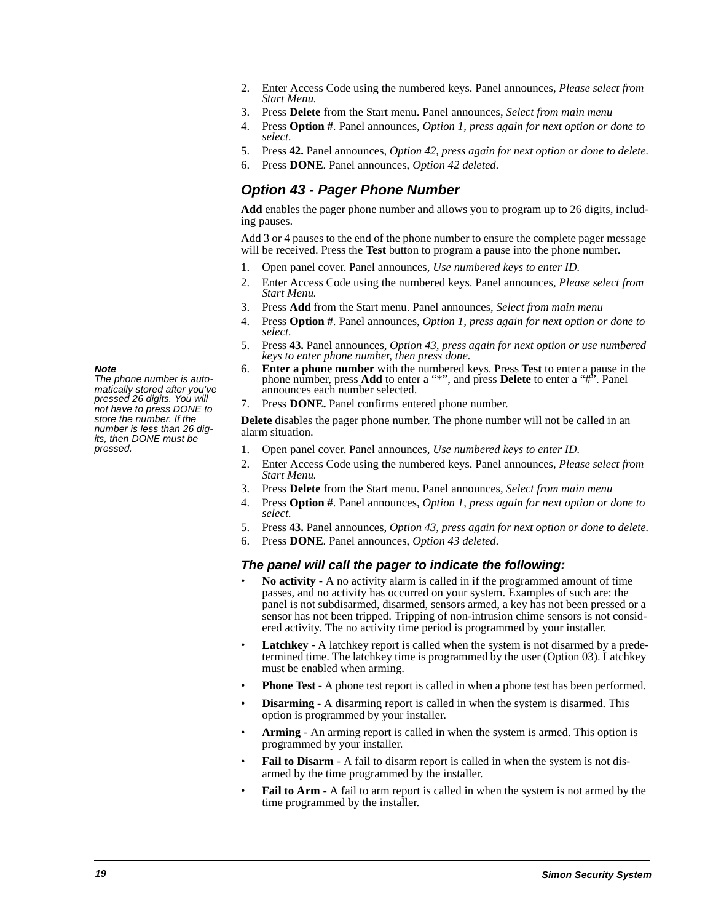- 2. Enter Access Code using the numbered keys. Panel announces, *Please select from Start Menu.*
- 3. Press **Delete** from the Start menu. Panel announces, *Select from main menu*
- 4. Press **Option #**. Panel announces, *Option 1, press again for next option or done to select.*
- 5. Press **42.** Panel announces, *Option 42, press again for next option or done to delete.*
- 6. Press **DONE**. Panel announces, *Option 42 deleted.*

### **Option 43 - Pager Phone Number**

**Add** enables the pager phone number and allows you to program up to 26 digits, including pauses.

Add 3 or 4 pauses to the end of the phone number to ensure the complete pager message will be received. Press the **Test** button to program a pause into the phone number.

- 1. Open panel cover. Panel announces, *Use numbered keys to enter ID.*
- 2. Enter Access Code using the numbered keys. Panel announces, *Please select from Start Menu.*
- 3. Press **Add** from the Start menu. Panel announces, *Select from main menu*
- 4. Press **Option #**. Panel announces, *Option 1, press again for next option or done to select.*
- 5. Press **43.** Panel announces, *Option 43, press again for next option or use numbered keys to enter phone number, then press done.*
- 6. **Enter a phone number** with the numbered keys. Press **Test** to enter a pause in the phone number, press **Add** to enter a "\*", and press **Delete** to enter a "#". Panel announces each number selected.
- 7. Press **DONE.** Panel confirms entered phone number.

**Delete** disables the pager phone number. The phone number will not be called in an alarm situation.

- 1. Open panel cover. Panel announces, *Use numbered keys to enter ID.*
- 2. Enter Access Code using the numbered keys. Panel announces, *Please select from Start Menu.*
- 3. Press **Delete** from the Start menu. Panel announces, *Select from main menu*
- 4. Press **Option #**. Panel announces, *Option 1, press again for next option or done to select.*
- 5. Press **43.** Panel announces, *Option 43, press again for next option or done to delete.*
- 6. Press **DONE**. Panel announces, *Option 43 deleted.*

### **The panel will call the pager to indicate the following:**

- **No activity** A no activity alarm is called in if the programmed amount of time passes, and no activity has occurred on your system. Examples of such are: the panel is not subdisarmed, disarmed, sensors armed, a key has not been pressed or a sensor has not been tripped. Tripping of non-intrusion chime sensors is not considered activity. The no activity time period is programmed by your installer.
- Latchkey A latchkey report is called when the system is not disarmed by a predetermined time. The latchkey time is programmed by the user (Option 03). Latchkey must be enabled when arming.
- **Phone Test** A phone test report is called in when a phone test has been performed.
- **Disarming** A disarming report is called in when the system is disarmed. This option is programmed by your installer.
- **Arming** An arming report is called in when the system is armed. This option is programmed by your installer.
- Fail to Disarm A fail to disarm report is called in when the system is not disarmed by the time programmed by the installer.
- **Fail to Arm** A fail to arm report is called in when the system is not armed by the time programmed by the installer.

### **Note**

The phone number is automatically stored after you've pressed 26 digits. You will not have to press DONE to store the number. If the number is less than 26 digits, then DONE must be pressed.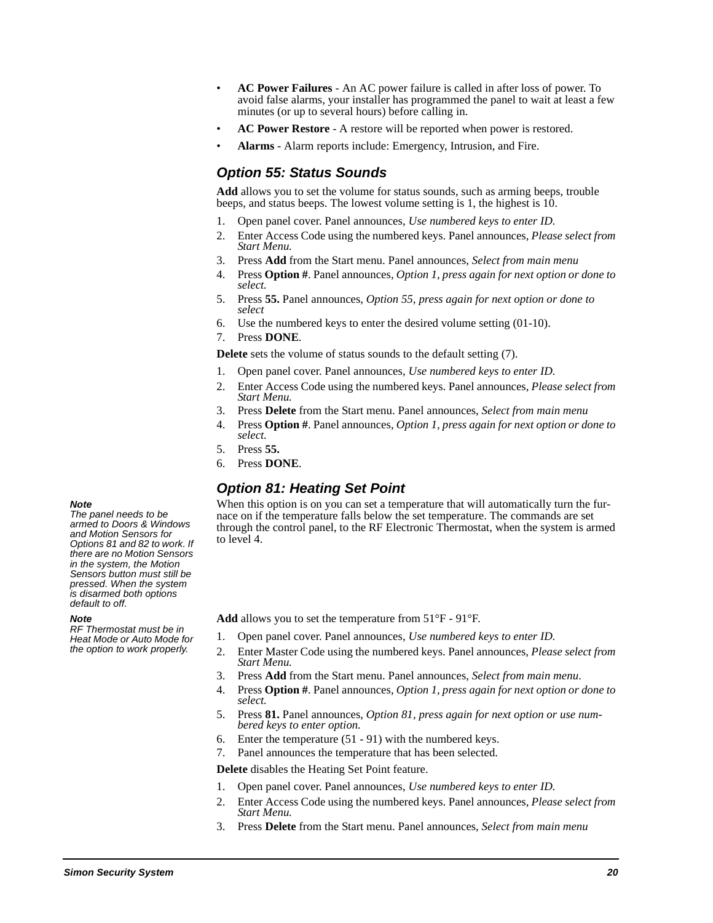- **AC Power Failures** An AC power failure is called in after loss of power. To avoid false alarms, your installer has programmed the panel to wait at least a few minutes (or up to several hours) before calling in.
- **AC Power Restore** A restore will be reported when power is restored.
- **Alarms** Alarm reports include: Emergency, Intrusion, and Fire.

### **Option 55: Status Sounds**

**Add** allows you to set the volume for status sounds, such as arming beeps, trouble beeps, and status beeps. The lowest volume setting is 1, the highest is 10.

- 1. Open panel cover. Panel announces, *Use numbered keys to enter ID.*
- 2. Enter Access Code using the numbered keys. Panel announces, *Please select from Start Menu.*
- 3. Press **Add** from the Start menu. Panel announces, *Select from main menu*
- 4. Press **Option #**. Panel announces, *Option 1, press again for next option or done to select.*
- 5. Press **55.** Panel announces, *Option 55, press again for next option or done to select*
- 6. Use the numbered keys to enter the desired volume setting (01-10).
- 7. Press **DONE**.

**Delete** sets the volume of status sounds to the default setting (7).

- 1. Open panel cover. Panel announces, *Use numbered keys to enter ID.*
- 2. Enter Access Code using the numbered keys. Panel announces, *Please select from Start Menu.*
- 3. Press **Delete** from the Start menu. Panel announces, *Select from main menu*
- 4. Press **Option #**. Panel announces, *Option 1, press again for next option or done to select.*
- 5. Press **55.**
- 6. Press **DONE**.

### **Option 81: Heating Set Point**

When this option is on you can set a temperature that will automatically turn the furnace on if the temperature falls below the set temperature. The commands are set through the control panel, to the RF Electronic Thermostat, when the system is armed to level 4.

**Add** allows you to set the temperature from 51°F - 91°F.

- 1. Open panel cover. Panel announces, *Use numbered keys to enter ID.*
- 2. Enter Master Code using the numbered keys. Panel announces, *Please select from Start Menu.*
- 3. Press **Add** from the Start menu. Panel announces, *Select from main menu*.
- 4. Press **Option #**. Panel announces, *Option 1, press again for next option or done to select.*
- 5. Press **81.** Panel announces, *Option 81, press again for next option or use numbered keys to enter option.*
- 6. Enter the temperature (51 91) with the numbered keys.
- 7. Panel announces the temperature that has been selected.

**Delete** disables the Heating Set Point feature.

- 1. Open panel cover. Panel announces, *Use numbered keys to enter ID.*
- 2. Enter Access Code using the numbered keys. Panel announces, *Please select from Start Menu.*
- 3. Press **Delete** from the Start menu. Panel announces, *Select from main menu*

#### **Note**

The panel needs to be armed to Doors & Windows and Motion Sensors for Options 81 and 82 to work. If there are no Motion Sensors in the system, the Motion Sensors button must still be pressed. When the system is disarmed both options default to off.

#### **Note**

RF Thermostat must be in Heat Mode or Auto Mode for the option to work properly.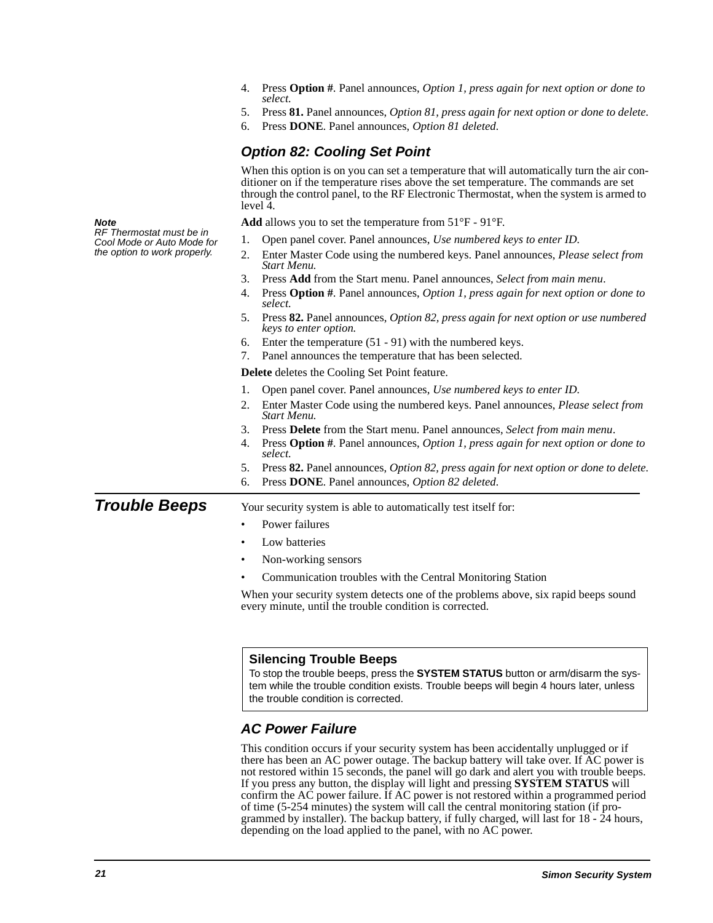|                                                        | Press <b>Option</b> #. Panel announces, <i>Option 1, press again for next option or done to</i><br>4.<br>select.<br>Press 81. Panel announces, Option 81, press again for next option or done to delete.<br>5.<br>Press DONE. Panel announces, Option 81 deleted.<br>6.                   |
|--------------------------------------------------------|-------------------------------------------------------------------------------------------------------------------------------------------------------------------------------------------------------------------------------------------------------------------------------------------|
|                                                        | <b>Option 82: Cooling Set Point</b>                                                                                                                                                                                                                                                       |
|                                                        | When this option is on you can set a temperature that will automatically turn the air con-<br>ditioner on if the temperature rises above the set temperature. The commands are set<br>through the control panel, to the RF Electronic Thermostat, when the system is armed to<br>level 4. |
| Note                                                   | <b>Add</b> allows you to set the temperature from $51^{\circ}F - 91^{\circ}F$ .                                                                                                                                                                                                           |
| RF Thermostat must be in<br>Cool Mode or Auto Mode for | Open panel cover. Panel announces, Use numbered keys to enter ID.<br>1.                                                                                                                                                                                                                   |
| the option to work properly.                           | Enter Master Code using the numbered keys. Panel announces, <i>Please select from</i><br>2.<br>Start Menu.                                                                                                                                                                                |
|                                                        | 3.<br>Press Add from the Start menu. Panel announces, Select from main menu.                                                                                                                                                                                                              |
|                                                        | Press Option #. Panel announces, Option 1, press again for next option or done to<br>4.<br>select.                                                                                                                                                                                        |
|                                                        | 5. Press 82. Panel announces, Option 82, press again for next option or use numbered<br>keys to enter option.                                                                                                                                                                             |
|                                                        | Enter the temperature $(51 - 91)$ with the numbered keys.<br>6.                                                                                                                                                                                                                           |
|                                                        | Panel announces the temperature that has been selected.<br>7.                                                                                                                                                                                                                             |
|                                                        | Delete deletes the Cooling Set Point feature.                                                                                                                                                                                                                                             |
|                                                        | Open panel cover. Panel announces, Use numbered keys to enter ID.<br>1.                                                                                                                                                                                                                   |
|                                                        | Enter Master Code using the numbered keys. Panel announces, Please select from<br>2.<br>Start Menu.                                                                                                                                                                                       |
|                                                        | 3.<br>Press Delete from the Start menu. Panel announces, Select from main menu.                                                                                                                                                                                                           |
|                                                        | 4.<br>Press Option #. Panel announces, Option 1, press again for next option or done to<br>select.                                                                                                                                                                                        |
|                                                        | Press 82. Panel announces, <i>Option 82, press again for next option or done to delete.</i><br>5.                                                                                                                                                                                         |
|                                                        | Press DONE. Panel announces, Option 82 deleted.<br>6.                                                                                                                                                                                                                                     |
| <b>Trouble Beeps</b>                                   | Your security system is able to automatically test itself for:                                                                                                                                                                                                                            |
|                                                        | Power failures<br>$\bullet$                                                                                                                                                                                                                                                               |
|                                                        | Low batteries<br>$\bullet$                                                                                                                                                                                                                                                                |
|                                                        | Non-working sensors<br>$\bullet$                                                                                                                                                                                                                                                          |
|                                                        | Communication troubles with the Central Monitoring Station                                                                                                                                                                                                                                |
|                                                        | When your security system detects one of the problems above, six rapid beeps sound<br>every minute, until the trouble condition is corrected.                                                                                                                                             |

#### **Silencing Trouble Beeps**

To stop the trouble beeps, press the **SYSTEM STATUS** button or arm/disarm the system while the trouble condition exists. Trouble beeps will begin 4 hours later, unless the trouble condition is corrected.

### **AC Power Failure**

This condition occurs if your security system has been accidentally unplugged or if there has been an AC power outage. The backup battery will take over. If AC power is not restored within 15 seconds, the panel will go dark and alert you with trouble beeps. If you press any button, the display will light and pressing **SYSTEM STATUS** will confirm the AC power failure. If AC power is not restored within a programmed period of time (5-254 minutes) the system will call the central monitoring station (if programmed by installer). The backup battery, if fully charged, will last for 18 - 24 hours, depending on the load applied to the panel, with no AC power.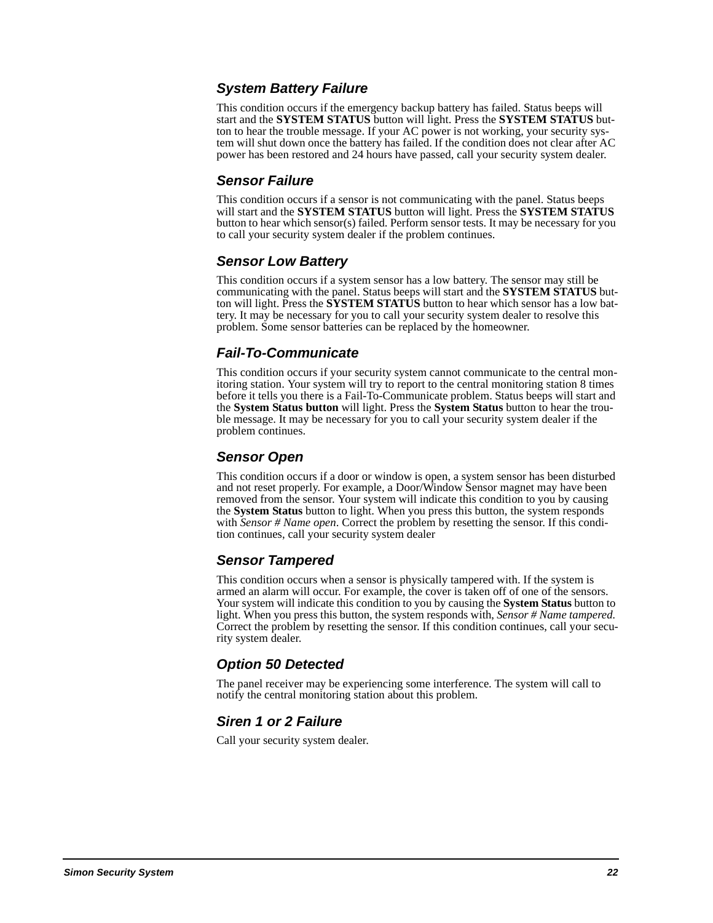### **System Battery Failure**

This condition occurs if the emergency backup battery has failed. Status beeps will start and the **SYSTEM STATUS** button will light. Press the **SYSTEM STATUS** button to hear the trouble message. If your AC power is not working, your security system will shut down once the battery has failed. If the condition does not clear after AC power has been restored and 24 hours have passed, call your security system dealer.

### **Sensor Failure**

This condition occurs if a sensor is not communicating with the panel. Status beeps will start and the **SYSTEM STATUS** button will light. Press the **SYSTEM STATUS** button to hear which sensor(s) failed. Perform sensor tests. It may be necessary for you to call your security system dealer if the problem continues.

### **Sensor Low Battery**

This condition occurs if a system sensor has a low battery. The sensor may still be communicating with the panel. Status beeps will start and the **SYSTEM STATUS** button will light. Press the **SYSTEM STATUS** button to hear which sensor has a low battery. It may be necessary for you to call your security system dealer to resolve this problem. Some sensor batteries can be replaced by the homeowner.

### **Fail-To-Communicate**

This condition occurs if your security system cannot communicate to the central monitoring station. Your system will try to report to the central monitoring station 8 times before it tells you there is a Fail-To-Communicate problem. Status beeps will start and the **System Status button** will light. Press the **System Status** button to hear the trouble message. It may be necessary for you to call your security system dealer if the problem continues.

## **Sensor Open**

This condition occurs if a door or window is open, a system sensor has been disturbed and not reset properly. For example, a Door/Window Sensor magnet may have been removed from the sensor. Your system will indicate this condition to you by causing the **System Status** button to light. When you press this button, the system responds with *Sensor # Name open*. Correct the problem by resetting the sensor. If this condition continues, call your security system dealer

# **Sensor Tampered**

This condition occurs when a sensor is physically tampered with. If the system is armed an alarm will occur. For example, the cover is taken off of one of the sensors. Your system will indicate this condition to you by causing the **System Status** button to light. When you press this button, the system responds with, *Sensor # Name tampered.*  Correct the problem by resetting the sensor. If this condition continues, call your security system dealer.

# **Option 50 Detected**

The panel receiver may be experiencing some interference. The system will call to notify the central monitoring station about this problem.

### **Siren 1 or 2 Failure**

Call your security system dealer.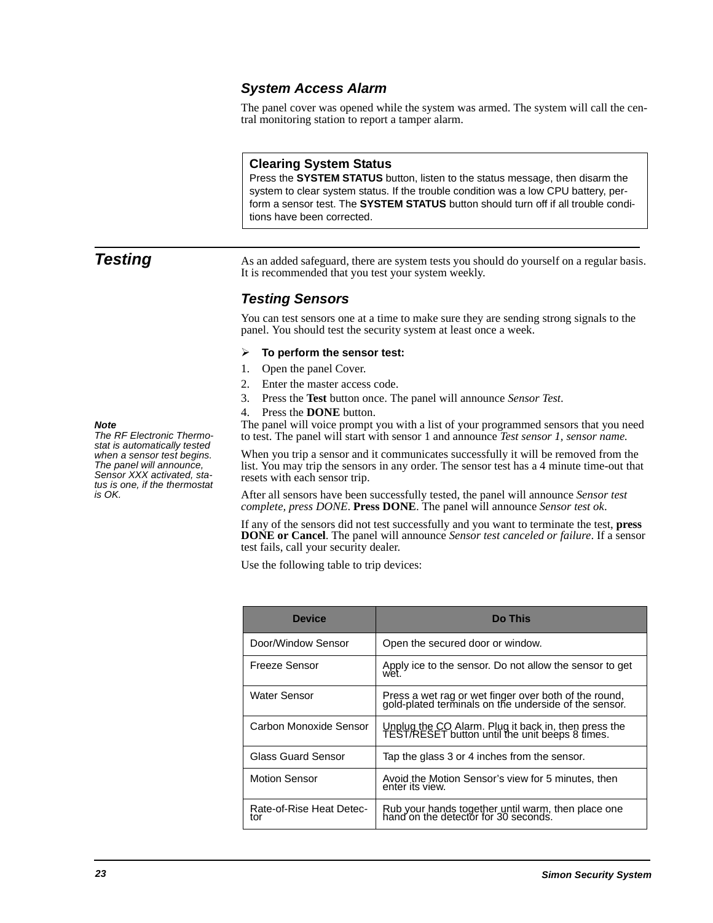### **System Access Alarm**

The panel cover was opened while the system was armed. The system will call the central monitoring station to report a tamper alarm.

#### **Clearing System Status**

Press the **SYSTEM STATUS** button, listen to the status message, then disarm the system to clear system status. If the trouble condition was a low CPU battery, perform a sensor test. The **SYSTEM STATUS** button should turn off if all trouble conditions have been corrected.

**Testing** As an added safeguard, there are system tests you should do yourself on a regular basis. It is recommended that you test your system weekly.

### **Testing Sensors**

You can test sensors one at a time to make sure they are sending strong signals to the panel. You should test the security system at least once a week.

#### $\blacktriangleright$ **To perform the sensor test:**

- 1. Open the panel Cover.
- 2. Enter the master access code.
- 3. Press the **Test** button once. The panel will announce *Sensor Test*.
- 4. Press the **DONE** button.

The panel will voice prompt you with a list of your programmed sensors that you need to test. The panel will start with sensor 1 and announce *Test sensor 1, sensor name.*

When you trip a sensor and it communicates successfully it will be removed from the list. You may trip the sensors in any order. The sensor test has a 4 minute time-out that resets with each sensor trip.

After all sensors have been successfully tested, the panel will announce *Sensor test complete, press DONE*. **Press DONE**. The panel will announce *Sensor test ok*.

If any of the sensors did not test successfully and you want to terminate the test, **press DONE or Cancel**. The panel will announce *Sensor test canceled or failure*. If a sensor test fails, call your security dealer.

Use the following table to trip devices:

| <b>Device</b>                   | <b>Do This</b>                                                                                              |
|---------------------------------|-------------------------------------------------------------------------------------------------------------|
| Door/Window Sensor              | Open the secured door or window.                                                                            |
| Freeze Sensor                   | Apply ice to the sensor. Do not allow the sensor to get<br>wet.                                             |
| Water Sensor                    | Press a wet rag or wet finger over both of the round, gold-plated terminals on the underside of the sensor. |
| Carbon Monoxide Sensor          | Unplug the CO Alarm. Plug it back in, then press the<br>TEST/RESET button until the unit beeps 8 times.     |
| Glass Guard Sensor              | Tap the glass 3 or 4 inches from the sensor.                                                                |
| <b>Motion Sensor</b>            | Avoid the Motion Sensor's view for 5 minutes, then<br>enter its view.                                       |
| Rate-of-Rise Heat Detec-<br>t∩r | Rub your hands together until warm, then place one<br>hand on the detector for 30 seconds.                  |

#### **Note**

The RF Electronic Thermostat is automatically tested when a sensor test begins. The panel will announce, Sensor XXX activated, status is one, if the thermostat is OK.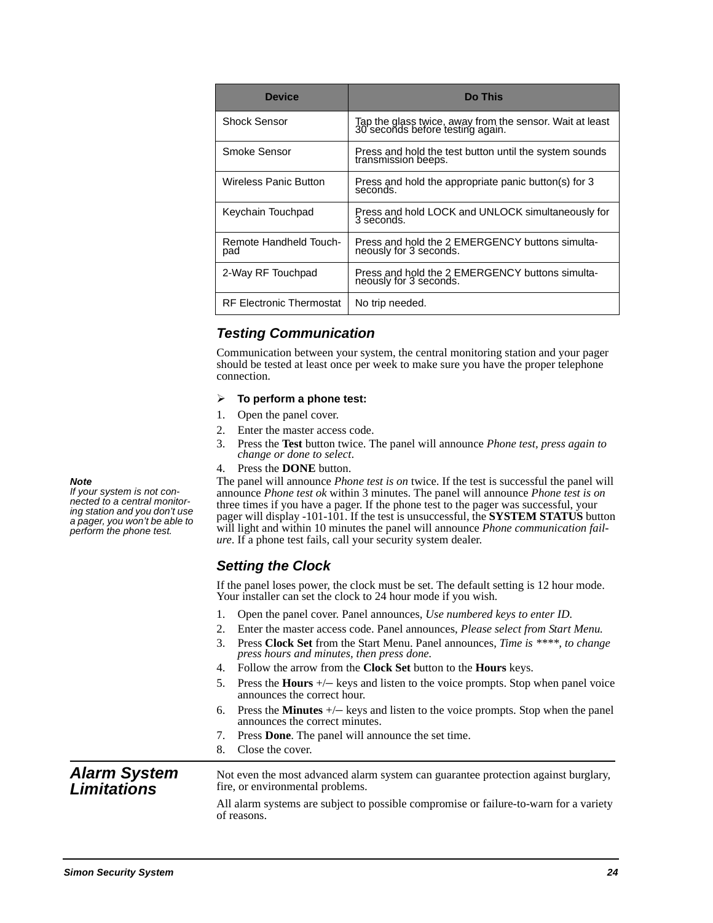| <b>Device</b>                   | Do This                                                                                      |
|---------------------------------|----------------------------------------------------------------------------------------------|
| Shock Sensor                    | Tap the glass twice, away from the sensor. Wait at least<br>30 seconds before testing again. |
| Smoke Sensor                    | Press and hold the test button until the system sounds<br>transmission beeps.                |
| <b>Wireless Panic Button</b>    | Press and hold the appropriate panic button(s) for 3<br>seconds.                             |
| Keychain Touchpad               | Press and hold LOCK and UNLOCK simultaneously for<br>3 seconds.                              |
| Remote Handheld Touch-<br>pad   | Press and hold the 2 EMERGENCY buttons simulta-<br>neously for 3 seconds.                    |
| 2-Way RF Touchpad               | Press and hold the 2 EMERGENCY buttons simulta-<br>neously for 3 seconds.                    |
| <b>RF Electronic Thermostat</b> | No trip needed.                                                                              |

# **Testing Communication**

Communication between your system, the central monitoring station and your pager should be tested at least once per week to make sure you have the proper telephone connection.

#### $\blacktriangleright$ **To perform a phone test:**

- 1. Open the panel cover.
- 2. Enter the master access code.
- 3. Press the **Test** button twice. The panel will announce *Phone test, press again to change or done to select*.
- 4. Press the **DONE** button.

The panel will announce *Phone test is on* twice. If the test is successful the panel will announce *Phone test ok* within 3 minutes. The panel will announce *Phone test is on*  three times if you have a pager. If the phone test to the pager was successful, your pager will display -101-101. If the test is unsuccessful, the **SYSTEM STATUS** button will light and within 10 minutes the panel will announce *Phone communication failure*. If a phone test fails, call your security system dealer.

### **Setting the Clock**

If the panel loses power, the clock must be set. The default setting is 12 hour mode. Your installer can set the clock to 24 hour mode if you wish.

- 1. Open the panel cover. Panel announces, *Use numbered keys to enter ID.*
- 2. Enter the master access code. Panel announces, *Please select from Start Menu.*
- 3. Press **Clock Set** from the Start Menu. Panel announces, *Time is \*\*\*\*, to change press hours and minutes, then press done.*
- 4. Follow the arrow from the **Clock Set** button to the **Hours** keys.
- 5. Press the **Hours** +/– keys and listen to the voice prompts. Stop when panel voice announces the correct hour.
- 6. Press the **Minutes** +/– keys and listen to the voice prompts. Stop when the panel announces the correct minutes.
- 7. Press **Done**. The panel will announce the set time.
- 8. Close the cover.

#### **Alarm System Limitations** Not even the most advanced alarm system can guarantee protection against burglary, fire, or environmental problems.

All alarm systems are subject to possible compromise or failure-to-warn for a variety of reasons.

#### **Note**

If your system is not connected to a central monitoring station and you don't use a pager, you won't be able to perform the phone test.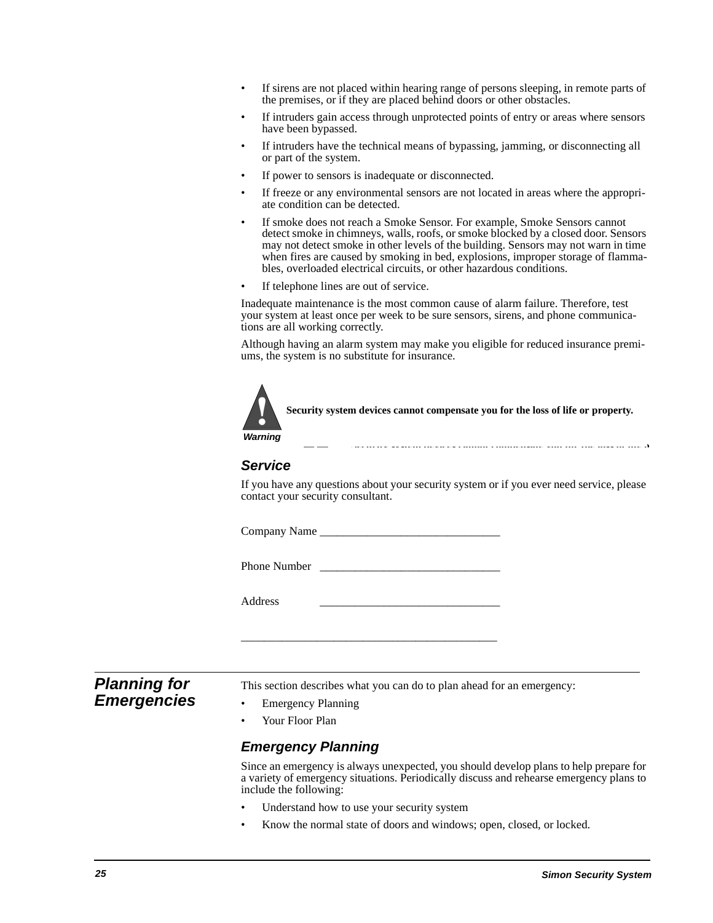- If sirens are not placed within hearing range of persons sleeping, in remote parts of the premises, or if they are placed behind doors or other obstacles.
- If intruders gain access through unprotected points of entry or areas where sensors have been bypassed.
- If intruders have the technical means of bypassing, jamming, or disconnecting all or part of the system.
- If power to sensors is inadequate or disconnected.
- If freeze or any environmental sensors are not located in areas where the appropriate condition can be detected.
- If smoke does not reach a Smoke Sensor. For example, Smoke Sensors cannot detect smoke in chimneys, walls, roofs, or smoke blocked by a closed door. Sensors may not detect smoke in other levels of the building. Sensors may not warn in time when fires are caused by smoking in bed, explosions, improper storage of flammables, overloaded electrical circuits, or other hazardous conditions.
- If telephone lines are out of service.

Inadequate maintenance is the most common cause of alarm failure. Therefore, test your system at least once per week to be sure sensors, sirens, and phone communications are all working correctly.

Although having an alarm system may make you eligible for reduced insurance premiums, the system is no substitute for insurance.



**Security system devices cannot compensate you for the loss of life or property.**

**Security system devices cannot compensate you for the loss of life o** !

# **Service**

If you have any questions about your security system or if you ever need service, please contact your security consultant.

Company Name

Phone Number

\_\_\_\_\_\_\_\_\_\_\_\_\_\_\_\_\_\_\_\_\_\_\_\_\_\_\_\_\_\_\_\_\_\_\_\_\_\_\_\_\_\_\_\_

Address \_\_\_\_\_\_\_\_\_\_\_\_\_\_\_\_\_\_\_\_\_\_\_\_\_\_\_\_\_\_\_

# **Planning for Emergencies**

This section describes what you can do to plan ahead for an emergency:

- **Emergency Planning**
- Your Floor Plan

#### **Emergency Planning**

Since an emergency is always unexpected, you should develop plans to help prepare for a variety of emergency situations. Periodically discuss and rehearse emergency plans to include the following:

- Understand how to use your security system
- Know the normal state of doors and windows; open, closed, or locked.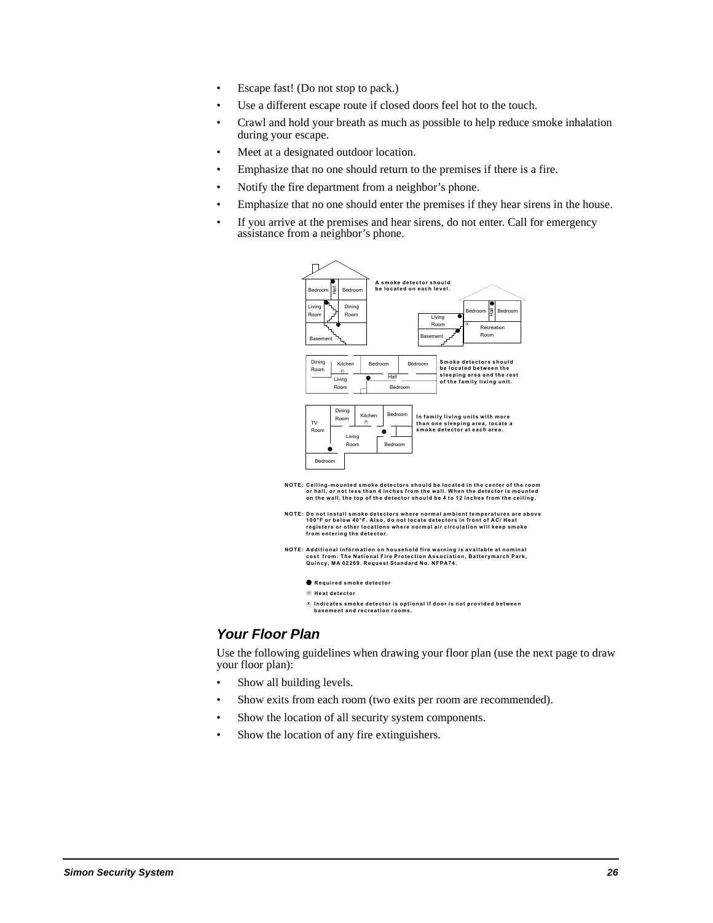- Escape fast! (Do not stop to pack.)
- Use a different escape route if closed doors feel hot to the touch.
- Crawl and hold your breath as much as possible to help reduce smoke inhalation during your escape.
- Meet at a designated outdoor location.
- Emphasize that no one should return to the premises if there is a fire.
- Notify the fire department from a neighbor's phone.
- Emphasize that no one should enter the premises if they hear sirens in the house.
- If you arrive at the premises and hear sirens, do not enter. Call for emergency assistance from a neighbor's phone.



### **Your Floor Plan**

Use the following guidelines when drawing your floor plan (use the next page to draw your floor plan):

- Show all building levels.
- Show exits from each room (two exits per room are recommended).
- Show the location of all security system components.
- Show the location of any fire extinguishers.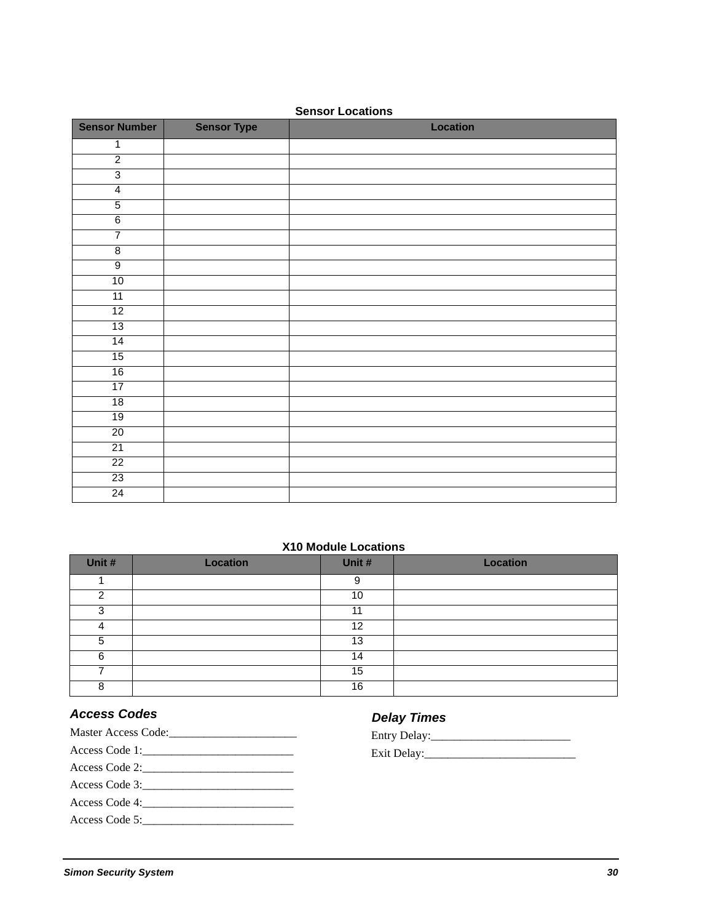| <b>Sensor Number</b> | <b>Sensor Type</b> | Location |
|----------------------|--------------------|----------|
| 1                    |                    |          |
| $\overline{2}$       |                    |          |
| $\overline{3}$       |                    |          |
| $\overline{4}$       |                    |          |
| $\overline{5}$       |                    |          |
| $6\overline{6}$      |                    |          |
| $\overline{7}$       |                    |          |
| $\overline{8}$       |                    |          |
| $\overline{9}$       |                    |          |
| 10                   |                    |          |
| 11                   |                    |          |
| 12                   |                    |          |
| 13                   |                    |          |
| 14                   |                    |          |
| 15                   |                    |          |
| 16                   |                    |          |
| 17                   |                    |          |
| 18                   |                    |          |
| 19                   |                    |          |
| 20                   |                    |          |
| 21                   |                    |          |
| 22                   |                    |          |
| 23                   |                    |          |
| 24                   |                    |          |

#### **Sensor Locations**

### **X10 Module Locations**

| Unit # | <b>Location</b> | Unit #          | <b>Location</b> |
|--------|-----------------|-----------------|-----------------|
|        |                 | 9               |                 |
| ົ      |                 | 10 <sup>°</sup> |                 |
| 3      |                 | 11              |                 |
| 4      |                 | 12              |                 |
| 5      |                 | 13              |                 |
| 6      |                 | 14              |                 |
|        |                 | 15              |                 |
| 8      |                 | 16              |                 |

### **Access Codes**

- **Delay Times**
- Master Access Code:\_\_\_\_\_\_\_\_\_\_\_\_\_\_\_\_\_\_\_\_\_\_ Access Code 1:\_\_\_\_\_\_\_\_\_\_\_\_\_\_\_\_\_\_\_\_\_\_\_\_\_\_ Access Code 2:\_\_\_\_\_\_\_\_\_\_\_\_\_\_\_\_\_\_\_\_\_\_\_\_\_\_ Access Code 3:\_\_\_\_\_\_\_\_\_\_\_\_\_\_\_\_\_\_\_\_\_\_\_\_\_\_ Access Code 4: Access Code 5:\_\_\_\_\_\_\_\_\_\_\_\_\_\_\_\_\_\_\_\_\_\_\_\_\_\_
- Exit Delay:\_\_\_\_\_\_\_\_\_\_\_\_\_\_\_\_\_\_\_\_\_\_\_\_\_\_ Entry Delay:\_\_\_\_\_\_\_\_\_\_\_\_\_\_\_\_\_\_\_\_\_\_\_\_